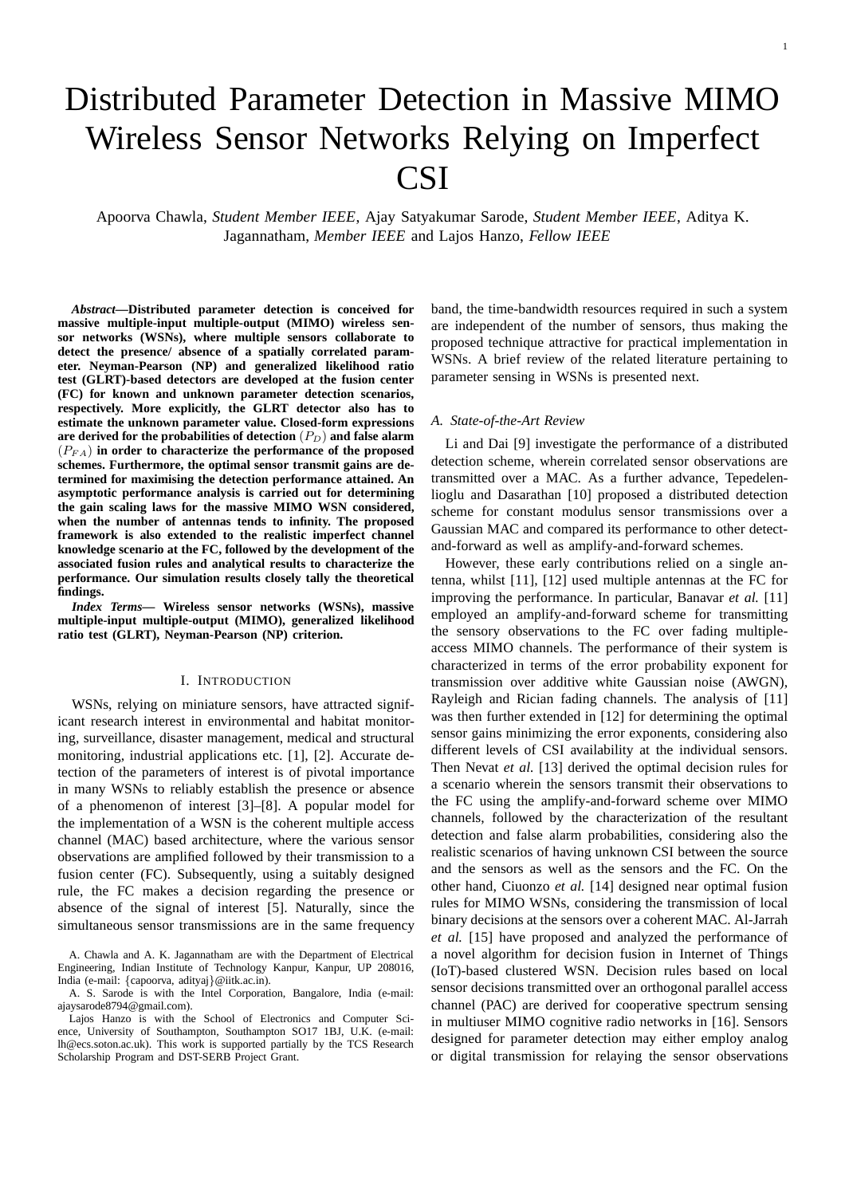# Distributed Parameter Detection in Massive MIMO Wireless Sensor Networks Relying on Imperfect CSI

Apoorva Chawla, *Student Member IEEE*, Ajay Satyakumar Sarode, *Student Member IEEE*, Aditya K. Jagannatham, *Member IEEE* and Lajos Hanzo, *Fellow IEEE*

*Abstract***—Distributed parameter detection is conceived for massive multiple-input multiple-output (MIMO) wireless sensor networks (WSNs), where multiple sensors collaborate to detect the presence/ absence of a spatially correlated parameter. Neyman-Pearson (NP) and generalized likelihood ratio test (GLRT)-based detectors are developed at the fusion center (FC) for known and unknown parameter detection scenarios, respectively. More explicitly, the GLRT detector also has to estimate the unknown parameter value. Closed-form expressions are derived for the probabilities of detection** (PD) **and false alarm**  $(P_{FA})$  in order to characterize the performance of the proposed **schemes. Furthermore, the optimal sensor transmit gains are determined for maximising the detection performance attained. An asymptotic performance analysis is carried out for determining the gain scaling laws for the massive MIMO WSN considered, when the number of antennas tends to infinity. The proposed framework is also extended to the realistic imperfect channel knowledge scenario at the FC, followed by the development of the associated fusion rules and analytical results to characterize the performance. Our simulation results closely tally the theoretical findings.**

*Index Terms—* **Wireless sensor networks (WSNs), massive multiple-input multiple-output (MIMO), generalized likelihood ratio test (GLRT), Neyman-Pearson (NP) criterion.**

## I. INTRODUCTION

WSNs, relying on miniature sensors, have attracted significant research interest in environmental and habitat monitoring, surveillance, disaster management, medical and structural monitoring, industrial applications etc. [1], [2]. Accurate detection of the parameters of interest is of pivotal importance in many WSNs to reliably establish the presence or absence of a phenomenon of interest [3]–[8]. A popular model for the implementation of a WSN is the coherent multiple access channel (MAC) based architecture, where the various sensor observations are amplified followed by their transmission to a fusion center (FC). Subsequently, using a suitably designed rule, the FC makes a decision regarding the presence or absence of the signal of interest [5]. Naturally, since the simultaneous sensor transmissions are in the same frequency band, the time-bandwidth resources required in such a system are independent of the number of sensors, thus making the proposed technique attractive for practical implementation in WSNs. A brief review of the related literature pertaining to parameter sensing in WSNs is presented next.

## *A. State-of-the-Art Review*

Li and Dai [9] investigate the performance of a distributed detection scheme, wherein correlated sensor observations are transmitted over a MAC. As a further advance, Tepedelenlioglu and Dasarathan [10] proposed a distributed detection scheme for constant modulus sensor transmissions over a Gaussian MAC and compared its performance to other detectand-forward as well as amplify-and-forward schemes.

However, these early contributions relied on a single antenna, whilst [11], [12] used multiple antennas at the FC for improving the performance. In particular, Banavar *et al.* [11] employed an amplify-and-forward scheme for transmitting the sensory observations to the FC over fading multipleaccess MIMO channels. The performance of their system is characterized in terms of the error probability exponent for transmission over additive white Gaussian noise (AWGN), Rayleigh and Rician fading channels. The analysis of [11] was then further extended in [12] for determining the optimal sensor gains minimizing the error exponents, considering also different levels of CSI availability at the individual sensors. Then Nevat *et al.* [13] derived the optimal decision rules for a scenario wherein the sensors transmit their observations to the FC using the amplify-and-forward scheme over MIMO channels, followed by the characterization of the resultant detection and false alarm probabilities, considering also the realistic scenarios of having unknown CSI between the source and the sensors as well as the sensors and the FC. On the other hand, Ciuonzo *et al.* [14] designed near optimal fusion rules for MIMO WSNs, considering the transmission of local binary decisions at the sensors over a coherent MAC. Al-Jarrah *et al.* [15] have proposed and analyzed the performance of a novel algorithm for decision fusion in Internet of Things (IoT)-based clustered WSN. Decision rules based on local sensor decisions transmitted over an orthogonal parallel access channel (PAC) are derived for cooperative spectrum sensing in multiuser MIMO cognitive radio networks in [16]. Sensors designed for parameter detection may either employ analog or digital transmission for relaying the sensor observations

A. Chawla and A. K. Jagannatham are with the Department of Electrical Engineering, Indian Institute of Technology Kanpur, Kanpur, UP 208016, India (e-mail: {capoorva, adityaj}@iitk.ac.in).

A. S. Sarode is with the Intel Corporation, Bangalore, India (e-mail: ajaysarode8794@gmail.com).

Lajos Hanzo is with the School of Electronics and Computer Science, University of Southampton, Southampton SO17 1BJ, U.K. (e-mail: lh@ecs.soton.ac.uk). This work is supported partially by the TCS Research Scholarship Program and DST-SERB Project Grant.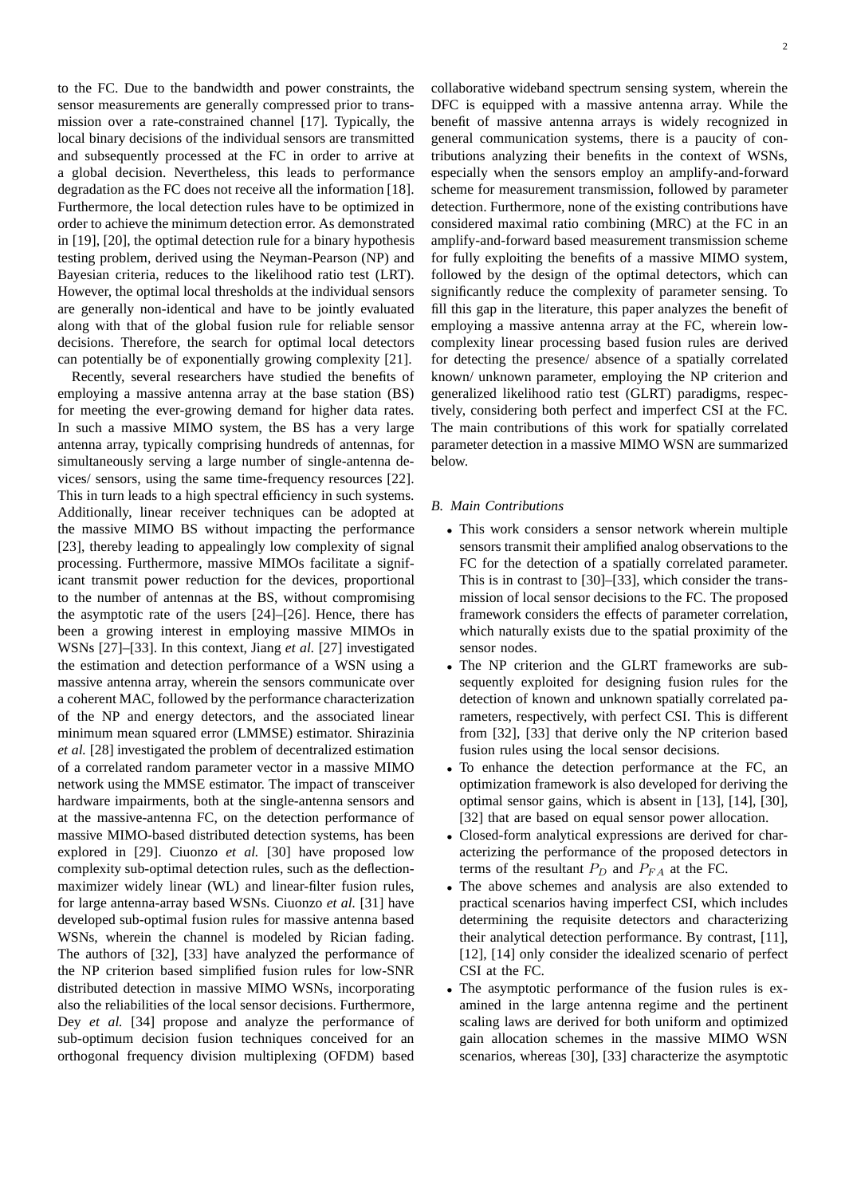to the FC. Due to the bandwidth and power constraints, the sensor measurements are generally compressed prior to transmission over a rate-constrained channel [17]. Typically, the local binary decisions of the individual sensors are transmitted and subsequently processed at the FC in order to arrive at a global decision. Nevertheless, this leads to performance degradation as the FC does not receive all the information [18]. Furthermore, the local detection rules have to be optimized in order to achieve the minimum detection error. As demonstrated in [19], [20], the optimal detection rule for a binary hypothesis testing problem, derived using the Neyman-Pearson (NP) and Bayesian criteria, reduces to the likelihood ratio test (LRT). However, the optimal local thresholds at the individual sensors are generally non-identical and have to be jointly evaluated along with that of the global fusion rule for reliable sensor decisions. Therefore, the search for optimal local detectors can potentially be of exponentially growing complexity [21].

Recently, several researchers have studied the benefits of employing a massive antenna array at the base station (BS) for meeting the ever-growing demand for higher data rates. In such a massive MIMO system, the BS has a very large antenna array, typically comprising hundreds of antennas, for simultaneously serving a large number of single-antenna devices/ sensors, using the same time-frequency resources [22]. This in turn leads to a high spectral efficiency in such systems. Additionally, linear receiver techniques can be adopted at the massive MIMO BS without impacting the performance [23], thereby leading to appealingly low complexity of signal processing. Furthermore, massive MIMOs facilitate a significant transmit power reduction for the devices, proportional to the number of antennas at the BS, without compromising the asymptotic rate of the users [24]–[26]. Hence, there has been a growing interest in employing massive MIMOs in WSNs [27]–[33]. In this context, Jiang *et al.* [27] investigated the estimation and detection performance of a WSN using a massive antenna array, wherein the sensors communicate over a coherent MAC, followed by the performance characterization of the NP and energy detectors, and the associated linear minimum mean squared error (LMMSE) estimator. Shirazinia *et al.* [28] investigated the problem of decentralized estimation of a correlated random parameter vector in a massive MIMO network using the MMSE estimator. The impact of transceiver hardware impairments, both at the single-antenna sensors and at the massive-antenna FC, on the detection performance of massive MIMO-based distributed detection systems, has been explored in [29]. Ciuonzo *et al.* [30] have proposed low complexity sub-optimal detection rules, such as the deflectionmaximizer widely linear (WL) and linear-filter fusion rules, for large antenna-array based WSNs. Ciuonzo *et al.* [31] have developed sub-optimal fusion rules for massive antenna based WSNs, wherein the channel is modeled by Rician fading. The authors of [32], [33] have analyzed the performance of the NP criterion based simplified fusion rules for low-SNR distributed detection in massive MIMO WSNs, incorporating also the reliabilities of the local sensor decisions. Furthermore, Dey *et al.* [34] propose and analyze the performance of sub-optimum decision fusion techniques conceived for an orthogonal frequency division multiplexing (OFDM) based

collaborative wideband spectrum sensing system, wherein the DFC is equipped with a massive antenna array. While the benefit of massive antenna arrays is widely recognized in general communication systems, there is a paucity of contributions analyzing their benefits in the context of WSNs, especially when the sensors employ an amplify-and-forward scheme for measurement transmission, followed by parameter detection. Furthermore, none of the existing contributions have considered maximal ratio combining (MRC) at the FC in an amplify-and-forward based measurement transmission scheme for fully exploiting the benefits of a massive MIMO system, followed by the design of the optimal detectors, which can significantly reduce the complexity of parameter sensing. To fill this gap in the literature, this paper analyzes the benefit of employing a massive antenna array at the FC, wherein lowcomplexity linear processing based fusion rules are derived for detecting the presence/ absence of a spatially correlated known/ unknown parameter, employing the NP criterion and generalized likelihood ratio test (GLRT) paradigms, respectively, considering both perfect and imperfect CSI at the FC. The main contributions of this work for spatially correlated parameter detection in a massive MIMO WSN are summarized below.

## *B. Main Contributions*

- This work considers a sensor network wherein multiple sensors transmit their amplified analog observations to the FC for the detection of a spatially correlated parameter. This is in contrast to [30]–[33], which consider the transmission of local sensor decisions to the FC. The proposed framework considers the effects of parameter correlation, which naturally exists due to the spatial proximity of the sensor nodes.
- The NP criterion and the GLRT frameworks are subsequently exploited for designing fusion rules for the detection of known and unknown spatially correlated parameters, respectively, with perfect CSI. This is different from [32], [33] that derive only the NP criterion based fusion rules using the local sensor decisions.
- To enhance the detection performance at the FC, an optimization framework is also developed for deriving the optimal sensor gains, which is absent in [13], [14], [30], [32] that are based on equal sensor power allocation.
- Closed-form analytical expressions are derived for characterizing the performance of the proposed detectors in terms of the resultant  $P_D$  and  $P_{FA}$  at the FC.
- The above schemes and analysis are also extended to practical scenarios having imperfect CSI, which includes determining the requisite detectors and characterizing their analytical detection performance. By contrast, [11], [12], [14] only consider the idealized scenario of perfect CSI at the FC.
- The asymptotic performance of the fusion rules is examined in the large antenna regime and the pertinent scaling laws are derived for both uniform and optimized gain allocation schemes in the massive MIMO WSN scenarios, whereas [30], [33] characterize the asymptotic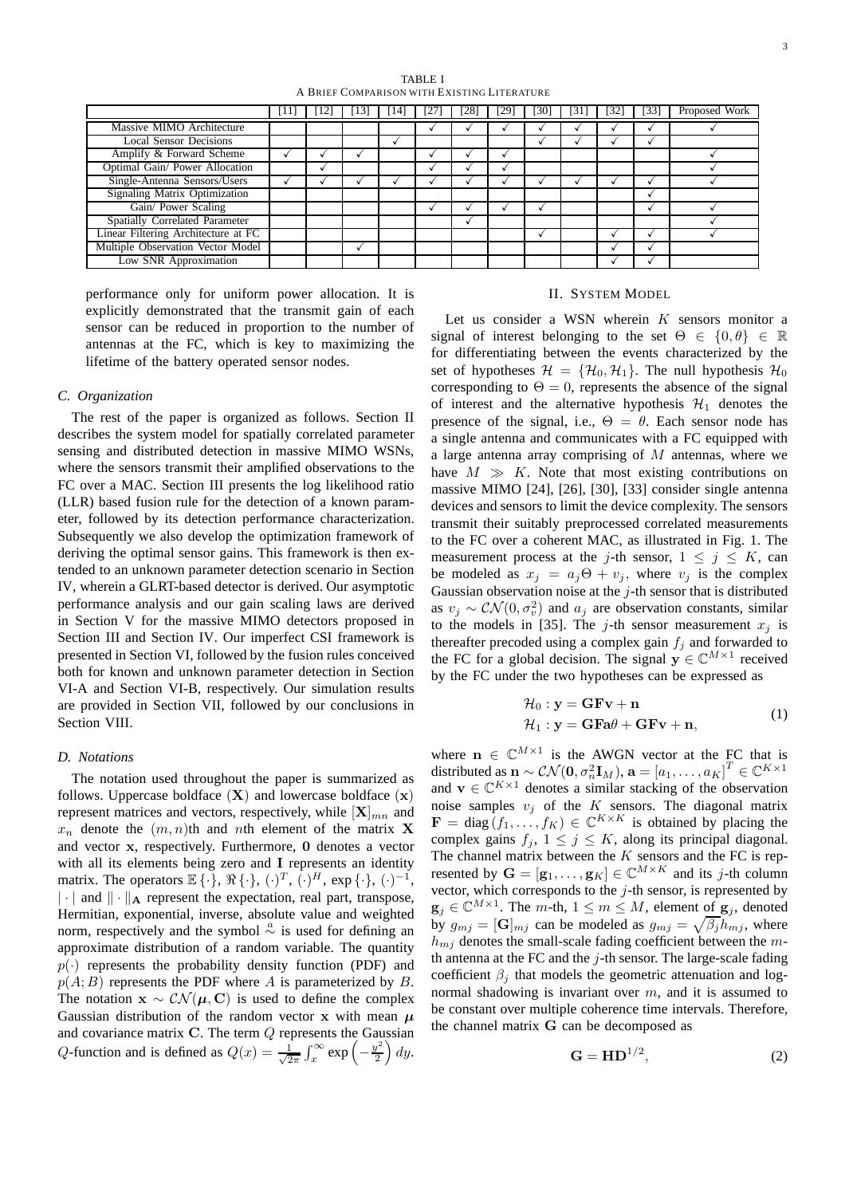3

TABLE I A BRIEF COMPARISON WITH EXISTING LITERATURE

|                                     | -111 | [12] | [13] | 114 I | [27] | [28] | $\left[29\right]$ | [30] | 1311 | 1321 | $\left[33\right]$ | Proposed Work |
|-------------------------------------|------|------|------|-------|------|------|-------------------|------|------|------|-------------------|---------------|
| Massive MIMO Architecture           |      |      |      |       |      |      |                   |      |      |      |                   |               |
| <b>Local Sensor Decisions</b>       |      |      |      |       |      |      |                   |      |      |      |                   |               |
| Amplify & Forward Scheme            |      |      |      |       |      |      |                   |      |      |      |                   |               |
| Optimal Gain/ Power Allocation      |      |      |      |       |      |      |                   |      |      |      |                   |               |
| Single-Antenna Sensors/Users        |      |      |      |       |      |      |                   |      |      |      |                   |               |
| Signaling Matrix Optimization       |      |      |      |       |      |      |                   |      |      |      |                   |               |
| Gain/ Power Scaling                 |      |      |      |       |      |      |                   |      |      |      |                   |               |
| Spatially Correlated Parameter      |      |      |      |       |      |      |                   |      |      |      |                   |               |
| Linear Filtering Architecture at FC |      |      |      |       |      |      |                   |      |      |      |                   |               |
| Multiple Observation Vector Model   |      |      |      |       |      |      |                   |      |      |      |                   |               |
| Low SNR Approximation               |      |      |      |       |      |      |                   |      |      |      |                   |               |

performance only for uniform power allocation. It is explicitly demonstrated that the transmit gain of each sensor can be reduced in proportion to the number of antennas at the FC, which is key to maximizing the lifetime of the battery operated sensor nodes.

# *C. Organization*

The rest of the paper is organized as follows. Section II describes the system model for spatially correlated parameter sensing and distributed detection in massive MIMO WSNs, where the sensors transmit their amplified observations to the FC over a MAC. Section III presents the log likelihood ratio (LLR) based fusion rule for the detection of a known parameter, followed by its detection performance characterization. Subsequently we also develop the optimization framework of deriving the optimal sensor gains. This framework is then extended to an unknown parameter detection scenario in Section IV, wherein a GLRT-based detector is derived. Our asymptotic performance analysis and our gain scaling laws are derived in Section V for the massive MIMO detectors proposed in Section III and Section IV. Our imperfect CSI framework is presented in Section VI, followed by the fusion rules conceived both for known and unknown parameter detection in Section VI-A and Section VI-B, respectively. Our simulation results are provided in Section VII, followed by our conclusions in Section VIII.

## *D. Notations*

The notation used throughout the paper is summarized as follows. Uppercase boldface  $(X)$  and lowercase boldface  $(x)$ represent matrices and vectors, respectively, while  $[X]_{mn}$  and  $x_n$  denote the  $(m, n)$ th and nth element of the matrix **X** and vector x, respectively. Furthermore, 0 denotes a vector with all its elements being zero and I represents an identity matrix. The operators  $\mathbb{E}\{\cdot\}$ ,  $\Re\{\cdot\}$ ,  $(\cdot)^{T}$ ,  $(\cdot)^{H}$ ,  $\exp\{\cdot\}$ ,  $(\cdot)^{-1}$ ,  $\|\cdot\|$  and  $\|\cdot\|$  represent the expectation, real part, transpose, Hermitian, exponential, inverse, absolute value and weighted norm, respectively and the symbol  $\stackrel{a}{\sim}$  is used for defining an approximate distribution of a random variable. The quantity  $p(\cdot)$  represents the probability density function (PDF) and  $p(A; B)$  represents the PDF where A is parameterized by B. The notation  $x \sim \mathcal{CN}(\mu, C)$  is used to define the complex Gaussian distribution of the random vector x with mean  $\mu$ and covariance matrix  $C$ . The term  $Q$  represents the Gaussian Q-function and is defined as  $Q(x) = \frac{1}{\sqrt{2}}$  $\frac{1}{2\pi} \int_x^{\infty} \exp\left(-\frac{y^2}{2}\right)$  $\frac{y^2}{2}$  dy.

# II. SYSTEM MODEL

Let us consider a WSN wherein  $K$  sensors monitor a signal of interest belonging to the set  $\Theta \in \{0, \theta\} \in \mathbb{R}$ for differentiating between the events characterized by the set of hypotheses  $\mathcal{H} = {\mathcal{H}_0, \mathcal{H}_1}$ . The null hypothesis  $\mathcal{H}_0$ corresponding to  $\Theta = 0$ , represents the absence of the signal of interest and the alternative hypothesis  $\mathcal{H}_1$  denotes the presence of the signal, i.e.,  $\Theta = \theta$ . Each sensor node has a single antenna and communicates with a FC equipped with a large antenna array comprising of  $M$  antennas, where we have  $M \gg K$ . Note that most existing contributions on massive MIMO [24], [26], [30], [33] consider single antenna devices and sensors to limit the device complexity. The sensors transmit their suitably preprocessed correlated measurements to the FC over a coherent MAC, as illustrated in Fig. 1. The measurement process at the j-th sensor,  $1 \le j \le K$ , can be modeled as  $x_j = a_j \Theta + v_j$ , where  $v_j$  is the complex Gaussian observation noise at the  $j$ -th sensor that is distributed as  $v_j \sim \mathcal{CN}(0, \sigma_v^2)$  and  $a_j$  are observation constants, similar to the models in [35]. The j-th sensor measurement  $x_i$  is thereafter precoded using a complex gain  $f_i$  and forwarded to the FC for a global decision. The signal  $y \in \mathbb{C}^{M \times 1}$  received by the FC under the two hypotheses can be expressed as

$$
\mathcal{H}_0: \mathbf{y} = \mathbf{G}\mathbf{F}\mathbf{v} + \mathbf{n}
$$
  

$$
\mathcal{H}_1: \mathbf{y} = \mathbf{G}\mathbf{F}\mathbf{a}\theta + \mathbf{G}\mathbf{F}\mathbf{v} + \mathbf{n},
$$
 (1)

where  $n \in \mathbb{C}^{M \times 1}$  is the AWGN vector at the FC that is distributed as  $\mathbf{n} \sim \mathcal{CN}(\mathbf{0}, \sigma_n^2 \mathbf{I}_M), \mathbf{a} = \left[a_1, \ldots, a_K\right]^T \in \mathbb{C}^{K \times 1}$ and  $\mathbf{v} \in \mathbb{C}^{K \times 1}$  denotes a similar stacking of the observation noise samples  $v_j$  of the K sensors. The diagonal matrix  $\mathbf{F} = \text{diag}(f_1, \dots, f_K) \in \mathbb{C}^{K \times K}$  is obtained by placing the complex gains  $f_j$ ,  $1 \leq j \leq K$ , along its principal diagonal. The channel matrix between the  $K$  sensors and the FC is represented by  $\mathbf{G} = [\mathbf{g}_1, \dots, \mathbf{g}_K] \in \mathbb{C}^{M \times K}$  and its *j*-th column vector, which corresponds to the  $j$ -th sensor, is represented by  $\mathbf{g}_j \in \mathbb{C}^{M \times 1}$ . The m-th,  $1 \leq m \leq M$ , element of  $\mathbf{g}_j$ , denoted by  $g_{mj} = [\mathbf{G}]_{mj}$  can be modeled as  $g_{mj} = \sqrt{\beta_j} h_{mj}$ , where  $h_{mj}$  denotes the small-scale fading coefficient between the mth antenna at the FC and the  $j$ -th sensor. The large-scale fading coefficient  $\beta_i$  that models the geometric attenuation and lognormal shadowing is invariant over  $m$ , and it is assumed to be constant over multiple coherence time intervals. Therefore, the channel matrix G can be decomposed as

$$
\mathbf{G} = \mathbf{H} \mathbf{D}^{1/2},\tag{2}
$$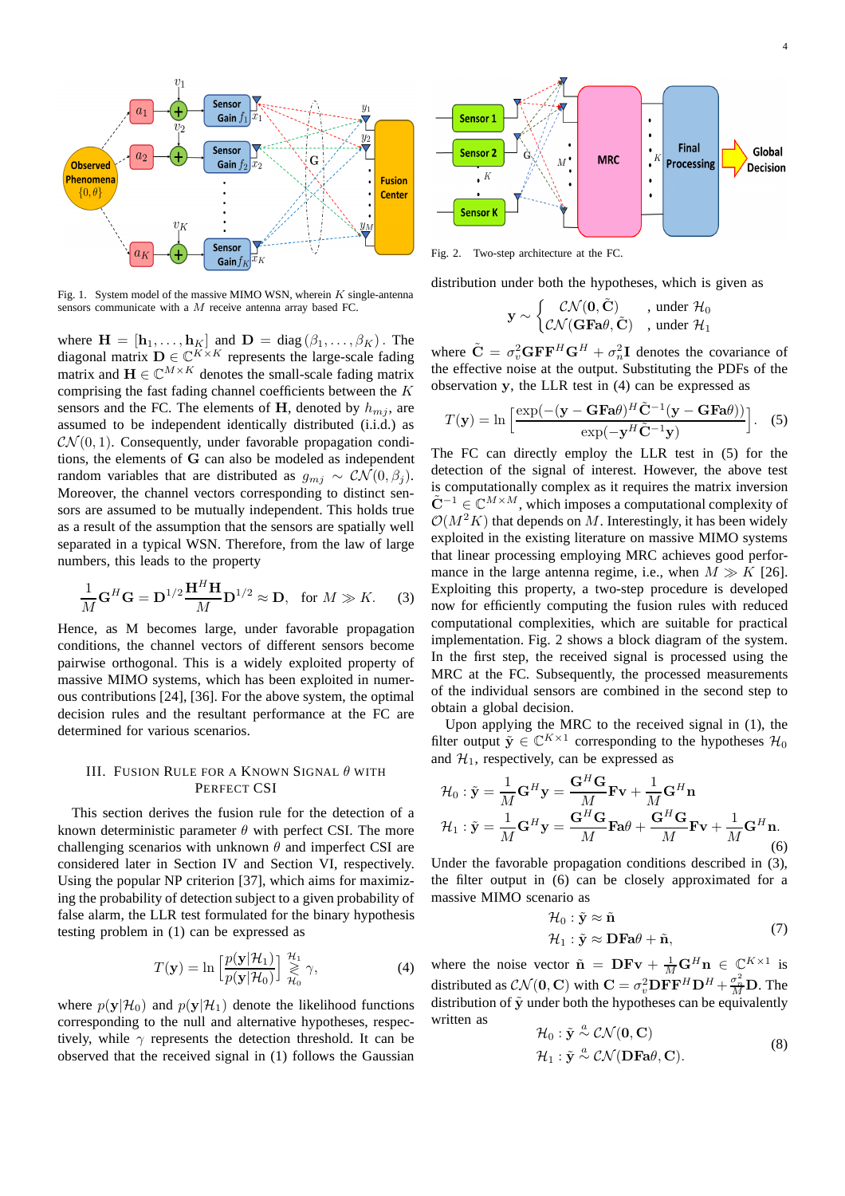

Fig. 1. System model of the massive MIMO WSN, wherein  $K$  single-antenna sensors communicate with a M receive antenna array based FC.

where  $\mathbf{H} = [\mathbf{h}_1, \dots, \mathbf{h}_K]$  and  $\mathbf{D} = \text{diag}(\beta_1, \dots, \beta_K)$ . The diagonal matrix  $\mathbf{D} \in \mathbb{C}^{K \times K}$  represents the large-scale fading matrix and  $\mathbf{H} \in \mathbb{C}^{M \times K}$  denotes the small-scale fading matrix comprising the fast fading channel coefficients between the K sensors and the FC. The elements of H, denoted by  $h_{mj}$ , are assumed to be independent identically distributed (i.i.d.) as  $\mathcal{CN}(0,1)$ . Consequently, under favorable propagation conditions, the elements of G can also be modeled as independent random variables that are distributed as  $g_{mi} \sim \mathcal{CN}(0, \beta_i)$ . Moreover, the channel vectors corresponding to distinct sensors are assumed to be mutually independent. This holds true as a result of the assumption that the sensors are spatially well separated in a typical WSN. Therefore, from the law of large numbers, this leads to the property

$$
\frac{1}{M}\mathbf{G}^H\mathbf{G} = \mathbf{D}^{1/2}\frac{\mathbf{H}^H\mathbf{H}}{M}\mathbf{D}^{1/2} \approx \mathbf{D}, \text{ for } M \gg K. \tag{3}
$$

Hence, as M becomes large, under favorable propagation conditions, the channel vectors of different sensors become pairwise orthogonal. This is a widely exploited property of massive MIMO systems, which has been exploited in numerous contributions [24], [36]. For the above system, the optimal decision rules and the resultant performance at the FC are determined for various scenarios.

# III. FUSION RULE FOR A KNOWN SIGNAL  $\theta$  with PERFECT CSI

This section derives the fusion rule for the detection of a known deterministic parameter  $\theta$  with perfect CSI. The more challenging scenarios with unknown  $\theta$  and imperfect CSI are considered later in Section IV and Section VI, respectively. Using the popular NP criterion [37], which aims for maximizing the probability of detection subject to a given probability of false alarm, the LLR test formulated for the binary hypothesis testing problem in (1) can be expressed as

$$
T(\mathbf{y}) = \ln \left[ \frac{p(\mathbf{y}|\mathcal{H}_1)}{p(\mathbf{y}|\mathcal{H}_0)} \right] \underset{\mathcal{H}_0}{\overset{\mathcal{H}_1}{\gtrless}} \gamma,
$$
 (4)

where  $p(\mathbf{y}|\mathcal{H}_0)$  and  $p(\mathbf{y}|\mathcal{H}_1)$  denote the likelihood functions corresponding to the null and alternative hypotheses, respectively, while  $\gamma$  represents the detection threshold. It can be observed that the received signal in (1) follows the Gaussian



Fig. 2. Two-step architecture at the FC.

distribution under both the hypotheses, which is given as

$$
\mathbf{y} \sim \begin{cases} \mathcal{CN}(\mathbf{0}, \tilde{\mathbf{C}}) & , \text{ under } \mathcal{H}_0 \\ \mathcal{CN}(\mathbf{G}\mathbf{F}\mathbf{a}\theta, \tilde{\mathbf{C}}) & , \text{ under } \mathcal{H}_1 \end{cases}
$$

where  $\tilde{\mathbf{C}} = \sigma_v^2 \mathbf{G} \mathbf{F} \mathbf{F}^H \mathbf{G}^H + \sigma_n^2 \mathbf{I}$  denotes the covariance of the effective noise at the output. Substituting the PDFs of the observation y, the LLR test in (4) can be expressed as

$$
T(\mathbf{y}) = \ln \left[ \frac{\exp(-(y - \mathbf{G} \mathbf{F} \mathbf{a} \theta)^H \tilde{\mathbf{C}}^{-1} (\mathbf{y} - \mathbf{G} \mathbf{F} \mathbf{a} \theta))}{\exp(-\mathbf{y}^H \tilde{\mathbf{C}}^{-1} \mathbf{y})} \right].
$$
 (5)

The FC can directly employ the LLR test in (5) for the detection of the signal of interest. However, the above test is computationally complex as it requires the matrix inversion  $\tilde{\mathbf{C}}^{-1} \in \mathbb{C}^{M \times M}$ , which imposes a computational complexity of  $\mathcal{O}(M^2K)$  that depends on M. Interestingly, it has been widely exploited in the existing literature on massive MIMO systems that linear processing employing MRC achieves good performance in the large antenna regime, i.e., when  $M \gg K$  [26]. Exploiting this property, a two-step procedure is developed now for efficiently computing the fusion rules with reduced computational complexities, which are suitable for practical implementation. Fig. 2 shows a block diagram of the system. In the first step, the received signal is processed using the MRC at the FC. Subsequently, the processed measurements of the individual sensors are combined in the second step to obtain a global decision.

Upon applying the MRC to the received signal in (1), the filter output  $\tilde{\mathbf{y}} \in \mathbb{C}^{K \times 1}$  corresponding to the hypotheses  $\mathcal{H}_0$ and  $\mathcal{H}_1$ , respectively, can be expressed as

$$
\mathcal{H}_0: \tilde{\mathbf{y}} = \frac{1}{M} \mathbf{G}^H \mathbf{y} = \frac{\mathbf{G}^H \mathbf{G}}{M} \mathbf{F} \mathbf{v} + \frac{1}{M} \mathbf{G}^H \mathbf{n}
$$
  

$$
\mathcal{H}_1: \tilde{\mathbf{y}} = \frac{1}{M} \mathbf{G}^H \mathbf{y} = \frac{\mathbf{G}^H \mathbf{G}}{M} \mathbf{F} \mathbf{a} \theta + \frac{\mathbf{G}^H \mathbf{G}}{M} \mathbf{F} \mathbf{v} + \frac{1}{M} \mathbf{G}^H \mathbf{n}.
$$
  
(6)

Under the favorable propagation conditions described in (3), the filter output in (6) can be closely approximated for a massive MIMO scenario as

$$
\mathcal{H}_0: \tilde{\mathbf{y}} \approx \tilde{\mathbf{n}} \n\mathcal{H}_1: \tilde{\mathbf{y}} \approx \mathbf{D} \mathbf{F} \mathbf{a} \theta + \tilde{\mathbf{n}},
$$
\n(7)

where the noise vector  $\tilde{\mathbf{n}} = \mathbf{DFv} + \frac{1}{M} \mathbf{G}^H \mathbf{n} \in \mathbb{C}^{K \times 1}$  is distributed as  $\mathcal{CN}(\mathbf{0}, \mathbf{C})$  with  $\mathbf{C} = \sigma_v^2 \mathbf{D} \mathbf{F} \mathbf{F}^H \mathbf{D}^H + \frac{\sigma_n^2}{M} \mathbf{D}$ . The distribution of  $\tilde{y}$  under both the hypotheses can be equivalently written as  $\sim$  C  $\sim$  C ( $\sim$ 

$$
\mathcal{H}_0: \tilde{\mathbf{y}} \stackrel{\alpha}{\sim} \mathcal{CN}(\mathbf{0}, \mathbf{C}) \n\mathcal{H}_1: \tilde{\mathbf{y}} \stackrel{a}{\sim} \mathcal{CN}(\mathbf{DFa}\theta, \mathbf{C}).
$$
\n(8)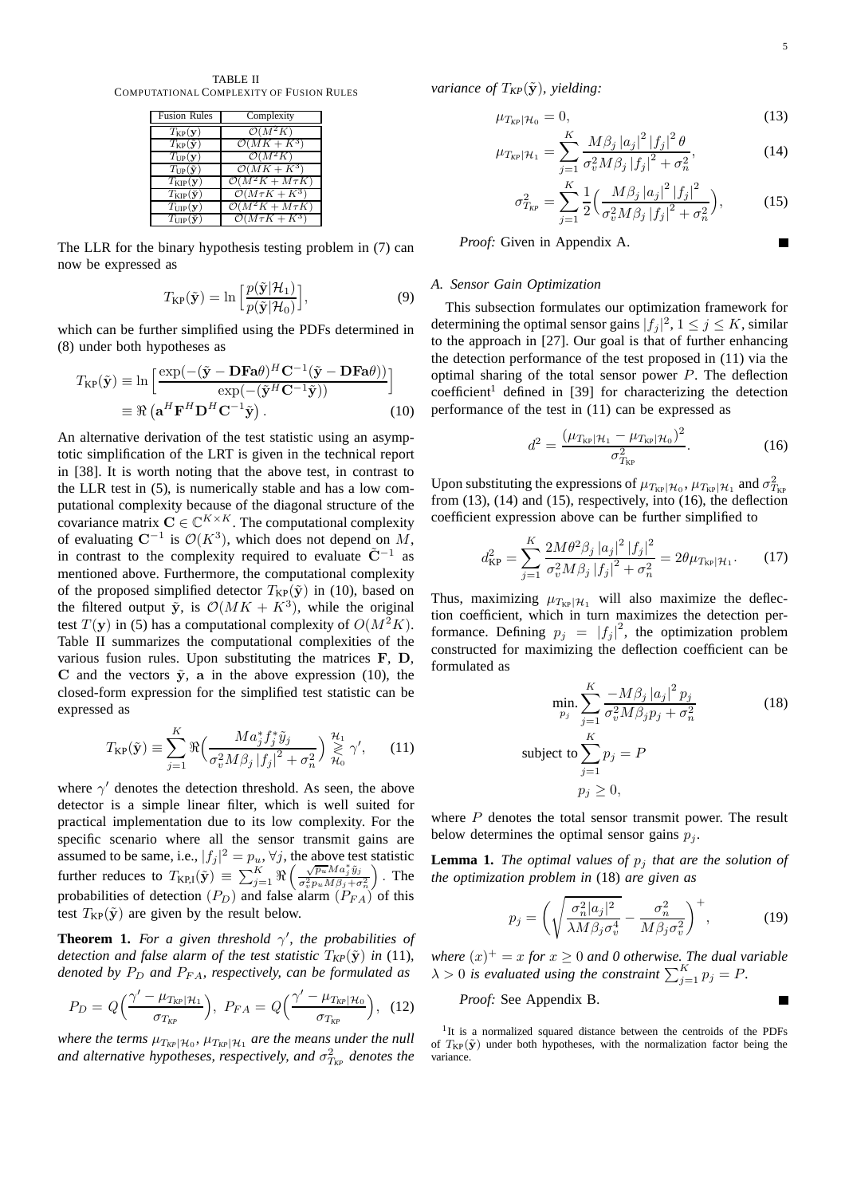TABLE II COMPUTATIONAL COMPLEXITY OF FUSION RULES

| <b>Fusion Rules</b>                 | Complexity                              |
|-------------------------------------|-----------------------------------------|
| $T_{\rm KP}({\bf y})$               | $\mathcal{O}(M^2K)$                     |
| $T_{\rm KP}(\tilde{\bf y})$         | $\mathcal{O}(MK + K^3)$                 |
| $T_{\rm UP}({\bf y})$               | $\mathcal{O}(M^2K)$                     |
| $T_{\text{UP}}(\tilde{\mathbf{y}})$ | $\mathcal{O}(MK+K^3)$                   |
| $T_{\rm KIP}({\bf y})$              | $\mathcal{O}(M^2K + M\tau K)$           |
| $T_{\rm KIP}({\bf y})$              | $\mathcal{O}(M\tau K + K^3)$            |
| $T_{\text{UIP}}(\mathbf{y})$        | $\mathcal{O}(M^2K + M\tau K)$           |
| $T_{\rm UP}(\check{\mathbf{y}})$    | $\overline{\mathcal{O}(M\tau K + K^3)}$ |

The LLR for the binary hypothesis testing problem in (7) can now be expressed as

$$
T_{\rm KP}(\tilde{\mathbf{y}}) = \ln \left[ \frac{p(\tilde{\mathbf{y}}|\mathcal{H}_1)}{p(\tilde{\mathbf{y}}|\mathcal{H}_0)} \right],\tag{9}
$$

which can be further simplified using the PDFs determined in (8) under both hypotheses as

$$
T_{\text{KP}}(\tilde{\mathbf{y}}) \equiv \ln \left[ \frac{\exp(-(\tilde{\mathbf{y}} - \mathbf{D} \mathbf{F} \mathbf{a} \theta)^H \mathbf{C}^{-1} (\tilde{\mathbf{y}} - \mathbf{D} \mathbf{F} \mathbf{a} \theta))}{\exp(-(\tilde{\mathbf{y}}^H \mathbf{C}^{-1} \tilde{\mathbf{y}}))} \right]
$$

$$
\equiv \Re \left( \mathbf{a}^H \mathbf{F}^H \mathbf{D}^H \mathbf{C}^{-1} \tilde{\mathbf{y}} \right).
$$
(10)

An alternative derivation of the test statistic using an asymptotic simplification of the LRT is given in the technical report in [38]. It is worth noting that the above test, in contrast to the LLR test in (5), is numerically stable and has a low computational complexity because of the diagonal structure of the covariance matrix  $\mathbf{C} \in \mathbb{C}^{K \times K}$ . The computational complexity of evaluating  $\mathbb{C}^{-1}$  is  $\mathcal{O}(K^3)$ , which does not depend on M, in contrast to the complexity required to evaluate  $\tilde{C}^{-1}$  as mentioned above. Furthermore, the computational complexity of the proposed simplified detector  $T_{KP}(\tilde{y})$  in (10), based on the filtered output  $\tilde{y}$ , is  $\mathcal{O}(MK + K^3)$ , while the original test  $T(y)$  in (5) has a computational complexity of  $O(M^2K)$ . Table II summarizes the computational complexities of the various fusion rules. Upon substituting the matrices F, D, C and the vectors  $\tilde{y}$ , a in the above expression (10), the closed-form expression for the simplified test statistic can be expressed as

$$
T_{\rm KP}(\tilde{\mathbf{y}}) \equiv \sum_{j=1}^K \Re \Big( \frac{M a_j^* f_j^* \tilde{y}_j}{\sigma_v^2 M \beta_j |f_j|^2 + \sigma_n^2} \Big) \underset{\mathcal{H}_0}{\overset{\mathcal{H}_1}{\gtrless}} \gamma', \qquad (11)
$$

where  $\gamma'$  denotes the detection threshold. As seen, the above detector is a simple linear filter, which is well suited for practical implementation due to its low complexity. For the specific scenario where all the sensor transmit gains are assumed to be same, i.e.,  $|f_j|^2 = p_u$ ,  $\forall j$ , the above test statistic further reduces to  $T_{\text{KP,I}}(\tilde{\mathbf{y}}) \equiv \sum_{j=1}^{K} \Re \left( \frac{\sqrt{p_u} M a_j^* \tilde{y}_j}{\sigma_v^2 p_u M \beta_j + \sigma_n^2} \right)$  . The probabilities of detection  $(P_D)$  and false alarm  $(P_{FA})$  of this test  $T_{KP}(\tilde{y})$  are given by the result below.

**Theorem 1.** For a given threshold  $\gamma'$ , the probabilities of *detection and false alarm of the test statistic*  $T_{KP}(\tilde{y})$  *in* (11)*, denoted by*  $P_D$  *and*  $P_{FA}$ *, respectively, can be formulated as* 

$$
P_D = Q\Big(\frac{\gamma' - \mu_{T_{KP}}|\mathcal{H}_1}{\sigma_{T_{KP}}}\Big), \ P_{FA} = Q\Big(\frac{\gamma' - \mu_{T_{KP}}|\mathcal{H}_0}{\sigma_{T_{KP}}}\Big), \ (12)
$$

where the terms  $\mu_{T_{KP}}|\mu_0$ ,  $\mu_{T_{KP}}|\mu_1$  are the means under the null and alternative hypotheses, respectively, and  $\sigma^2_{T_{\text{\tiny KP}}}$  denotes the *variance of*  $T_{KP}(\tilde{y})$ *, yielding:* 

$$
\mu_{T_{KP}}|\mathcal{H}_0 = 0, \tag{13}
$$
\n
$$
\frac{K}{2} M_{B \cup [a]}^2 |f|^2 \theta
$$

$$
\mu_{T_{KP}}|\mathcal{H}_1 = \sum_{j=1}^{K} \frac{M\beta_j |a_j|^2 |f_j|^2 \theta}{\sigma_v^2 M\beta_j |f_j|^2 + \sigma_n^2},\tag{14}
$$

$$
\sigma_{T_{KP}}^2 = \sum_{j=1}^{K} \frac{1}{2} \Big( \frac{M \beta_j |a_j|^2 |f_j|^2}{\sigma_v^2 M \beta_j |f_j|^2 + \sigma_n^2} \Big),\tag{15}
$$

*Proof:* Given in Appendix A.

## *A. Sensor Gain Optimization*

This subsection formulates our optimization framework for determining the optimal sensor gains  $|f_j|^2$ ,  $1 \le j \le K$ , similar to the approach in [27]. Our goal is that of further enhancing the detection performance of the test proposed in (11) via the optimal sharing of the total sensor power  $P$ . The deflection  $coefficient<sup>1</sup>$  defined in [39] for characterizing the detection performance of the test in (11) can be expressed as

$$
d^{2} = \frac{(\mu_{T_{\text{KP}}|\mathcal{H}_{1}} - \mu_{T_{\text{KP}}|\mathcal{H}_{0}})^{2}}{\sigma_{T_{\text{KP}}}^{2}}.
$$
 (16)

Upon substituting the expressions of  $\mu_{T_{KP}}|\mu_0, \mu_{T_{KP}}|\mu_1$  and  $\sigma_{T_{KP}}^2$ from  $(13)$ ,  $(14)$  and  $(15)$ , respectively, into  $(16)$ , the deflection coefficient expression above can be further simplified to

$$
d_{\rm KP}^2 = \sum_{j=1}^K \frac{2M\theta^2 \beta_j |a_j|^2 |f_j|^2}{\sigma_v^2 M \beta_j |f_j|^2 + \sigma_n^2} = 2\theta \mu_{T_{\rm KP}|\mathcal{H}_1}.
$$
 (17)

Thus, maximizing  $\mu_{T_{KP}}|\mathcal{H}_1$  will also maximize the deflection coefficient, which in turn maximizes the detection performance. Defining  $p_j = |f_j|^2$ , the optimization problem constructed for maximizing the deflection coefficient can be formulated as

$$
\min_{p_j} \sum_{j=1}^{K} \frac{-M\beta_j |a_j|^2 p_j}{\sigma_v^2 M \beta_j p_j + \sigma_n^2}
$$
\nsubject to

\n
$$
\sum_{j=1}^{K} p_j = P
$$
\n
$$
p_j \geq 0,
$$
\n(18)

where  $P$  denotes the total sensor transmit power. The result below determines the optimal sensor gains  $p_i$ .

**Lemma 1.** *The optimal values of*  $p_i$  *that are the solution of the optimization problem in* (18) *are given as*

$$
p_j = \left(\sqrt{\frac{\sigma_n^2 |a_j|^2}{\lambda M \beta_j \sigma_v^4}} - \frac{\sigma_n^2}{M \beta_j \sigma_v^2}\right)^+, \tag{19}
$$

where  $(x)^{+} = x$  for  $x \geq 0$  and 0 otherwise. The dual variable  $\lambda > 0$  is evaluated using the constraint  $\sum_{j=1}^{K} p_j = P$ .

*Proof:* See Appendix B.

<sup>1</sup>It is a normalized squared distance between the centroids of the PDFs of  $T_{KP}(\tilde{y})$  under both hypotheses, with the normalization factor being the variance.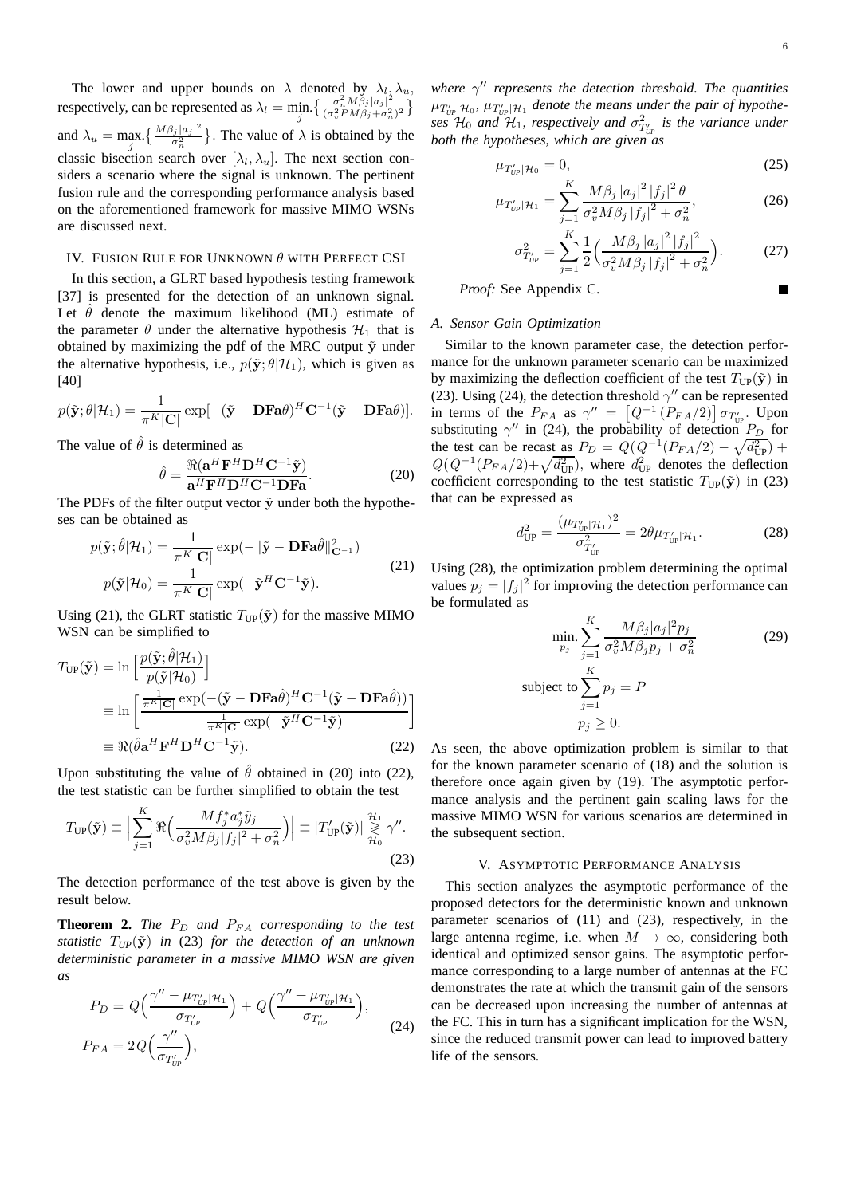The lower and upper bounds on  $\lambda$  denoted by  $\lambda_l, \lambda_u,$ respectively, can be represented as  $\lambda_l = \min_j \left\{ \frac{\sigma_n^2 M \tilde{\beta}_j |a_j|^2}{(\sigma_v^2 P M \beta_j + \sigma_n^2)} \right\}$  $\frac{\sigma_n^2 M \beta_j |a_j|^2}{(\sigma_v^2 P M \beta_j + \sigma_n^2)^2}$ and  $\lambda_u = \max_j \left\{ \frac{M\beta_j |a_j|^2}{\sigma_n^2} \right\}$  $\left\{\frac{\partial_j |a_j|^2}{\partial_n^2}\right\}$ . The value of  $\lambda$  is obtained by the classic bisection search over  $[\lambda_l, \lambda_u]$ . The next section considers a scenario where the signal is unknown. The pertinent fusion rule and the corresponding performance analysis based on the aforementioned framework for massive MIMO WSNs are discussed next.

# IV. FUSION RULE FOR UNKNOWN  $\theta$  with PERFECT CSI

In this section, a GLRT based hypothesis testing framework [37] is presented for the detection of an unknown signal. Let  $\hat{\theta}$  denote the maximum likelihood (ML) estimate of the parameter  $\theta$  under the alternative hypothesis  $\mathcal{H}_1$  that is obtained by maximizing the pdf of the MRC output  $\tilde{y}$  under the alternative hypothesis, i.e.,  $p(\tilde{\mathbf{y}}; \theta | \mathcal{H}_1)$ , which is given as [40]

$$
p(\tilde{\mathbf{y}};\theta|\mathcal{H}_1) = \frac{1}{\pi^K|\mathbf{C}|} \exp[-(\tilde{\mathbf{y}} - \mathbf{D}\mathbf{F}\mathbf{a}\theta)^H \mathbf{C}^{-1}(\tilde{\mathbf{y}} - \mathbf{D}\mathbf{F}\mathbf{a}\theta)].
$$

The value of  $\hat{\theta}$  is determined as

$$
\hat{\theta} = \frac{\Re(\mathbf{a}^H \mathbf{F}^H \mathbf{D}^H \mathbf{C}^{-1} \tilde{\mathbf{y}})}{\mathbf{a}^H \mathbf{F}^H \mathbf{D}^H \mathbf{C}^{-1} \mathbf{D} \mathbf{F} \mathbf{a}}.
$$
 (20)

The PDFs of the filter output vector  $\tilde{\mathbf{y}}$  under both the hypotheses can be obtained as

$$
p(\tilde{\mathbf{y}}; \hat{\theta} | \mathcal{H}_1) = \frac{1}{\pi^K |\mathbf{C}|} \exp(-\|\tilde{\mathbf{y}} - \mathbf{D} \mathbf{F} \mathbf{a} \hat{\theta}\|_{\mathbf{C}^{-1}}^2)
$$
  

$$
p(\tilde{\mathbf{y}} | \mathcal{H}_0) = \frac{1}{\pi^K |\mathbf{C}|} \exp(-\tilde{\mathbf{y}}^H \mathbf{C}^{-1} \tilde{\mathbf{y}}).
$$
 (21)

Using (21), the GLRT statistic  $T_{\text{UP}}(\tilde{\mathbf{y}})$  for the massive MIMO WSN can be simplified to

$$
T_{\text{UP}}(\tilde{\mathbf{y}}) = \ln \left[ \frac{p(\tilde{\mathbf{y}}; \hat{\theta} | \mathcal{H}_1)}{p(\tilde{\mathbf{y}} | \mathcal{H}_0)} \right]
$$
  
\n
$$
\equiv \ln \left[ \frac{\frac{1}{\pi^R |\mathbf{C}|} \exp(-(\tilde{\mathbf{y}} - \mathbf{D} \mathbf{F} \mathbf{a} \hat{\theta})^H \mathbf{C}^{-1} (\tilde{\mathbf{y}} - \mathbf{D} \mathbf{F} \mathbf{a} \hat{\theta}))}{\frac{1}{\pi^R |\mathbf{C}|} \exp(-\tilde{\mathbf{y}}^H \mathbf{C}^{-1} \tilde{\mathbf{y}})}
$$
  
\n
$$
\equiv \Re(\hat{\theta} \mathbf{a}^H \mathbf{F}^H \mathbf{D}^H \mathbf{C}^{-1} \tilde{\mathbf{y}}).
$$
\n(22)

Upon substituting the value of  $\hat{\theta}$  obtained in (20) into (22), the test statistic can be further simplified to obtain the test

$$
T_{\text{UP}}(\tilde{\mathbf{y}}) \equiv \Big| \sum_{j=1}^{K} \Re \Big( \frac{M f_j^* a_j^* \tilde{y}_j}{\sigma_v^2 M \beta_j |f_j|^2 + \sigma_n^2} \Big) \Big| \equiv |T'_{\text{UP}}(\tilde{\mathbf{y}})| \underset{\mathcal{H}_0}{\geqslant} \gamma''.
$$
\n(23)

The detection performance of the test above is given by the result below.

**Theorem 2.** *The*  $P_D$  *and*  $P_{FA}$  *corresponding to the test statistic*  $T_{UP}(\tilde{y})$  *in* (23) *for the detection of an unknown deterministic parameter in a massive MIMO WSN are given as*

$$
P_D = Q\left(\frac{\gamma'' - \mu_{T'_{UP}}|\mathcal{H}_1}{\sigma_{T'_{UP}}}\right) + Q\left(\frac{\gamma'' + \mu_{T'_{UP}}|\mathcal{H}_1}{\sigma_{T'_{UP}}}\right),
$$
  
\n
$$
P_{FA} = 2Q\left(\frac{\gamma''}{\sigma_{T'_{UP}}}\right),
$$
\n(24)

*where* γ ′′ *represents the detection threshold. The quantities*  $\mu_{T'_{\text{UP}}|\mathcal{H}_0}$ ,  $\mu_{T'_{\text{UP}}|\mathcal{H}_1}$  denote the means under the pair of hypothe- $\sin \mathcal{H}_0$  and  $\mathcal{H}_1$ , respectively and  $\sigma^2_{T'_{UP}}$  is the variance under *UP both the hypotheses, which are given as*

$$
\mu_{T'_{UP}|\mathcal{H}_0} = 0,\tag{25}
$$

$$
\mu_{T'_{UP}|\mathcal{H}_1} = \sum_{j=1}^{K} \frac{M\beta_j |a_j|^2 |f_j|^2 \theta}{\sigma_v^2 M \beta_j |f_j|^2 + \sigma_n^2},
$$
(26)

$$
\sigma_{T'_{UP}}^2 = \sum_{j=1}^K \frac{1}{2} \left( \frac{M\beta_j |a_j|^2 |f_j|^2}{\sigma_v^2 M \beta_j |f_j|^2 + \sigma_n^2} \right). \tag{27}
$$

*Proof:* See Appendix C.

## *A. Sensor Gain Optimization*

Similar to the known parameter case, the detection performance for the unknown parameter scenario can be maximized by maximizing the deflection coefficient of the test  $T_{\text{UP}}(\tilde{\mathbf{y}})$  in (23). Using (24), the detection threshold  $\gamma''$  can be represented in terms of the  $P_{FA}$  as  $\gamma'' = \left[Q^{-1}(P_{FA}/2)\right] \sigma_{T'_{UP}}$ . Upon substituting  $\gamma''$  in (24), the probability of detection  $P_D$  for the test can be recast as  $P_D = Q(Q^{-1}(P_{FA}/2) - \sqrt{d_{UP}^2}) +$  $Q(Q^{-1}(P_{FA}/2)+\sqrt{d_{UP}^2})$ , where  $d_{UP}^2$  denotes the deflection coefficient corresponding to the test statistic  $T_{\text{UP}}(\tilde{\mathbf{y}})$  in (23) that can be expressed as

$$
d_{\text{UP}}^2 = \frac{(\mu_{T'_{\text{UP}}|\mathcal{H}_1})^2}{\sigma_{T'_{\text{UP}}}^2} = 2\theta \mu_{T'_{\text{UP}}|\mathcal{H}_1}.
$$
 (28)

Using (28), the optimization problem determining the optimal values  $p_j = |f_j|^2$  for improving the detection performance can be formulated as

$$
\min_{p_j} \sum_{j=1}^{K} \frac{-M\beta_j |a_j|^2 p_j}{\sigma_v^2 M \beta_j p_j + \sigma_n^2}
$$
\nsubject to

\n
$$
\sum_{j=1}^{K} p_j = P
$$
\n
$$
p_j \geq 0.
$$
\n(29)

As seen, the above optimization problem is similar to that for the known parameter scenario of (18) and the solution is therefore once again given by (19). The asymptotic performance analysis and the pertinent gain scaling laws for the massive MIMO WSN for various scenarios are determined in the subsequent section.

## V. ASYMPTOTIC PERFORMANCE ANALYSIS

This section analyzes the asymptotic performance of the proposed detectors for the deterministic known and unknown parameter scenarios of (11) and (23), respectively, in the large antenna regime, i.e. when  $M \to \infty$ , considering both identical and optimized sensor gains. The asymptotic performance corresponding to a large number of antennas at the FC demonstrates the rate at which the transmit gain of the sensors can be decreased upon increasing the number of antennas at the FC. This in turn has a significant implication for the WSN, since the reduced transmit power can lead to improved battery life of the sensors.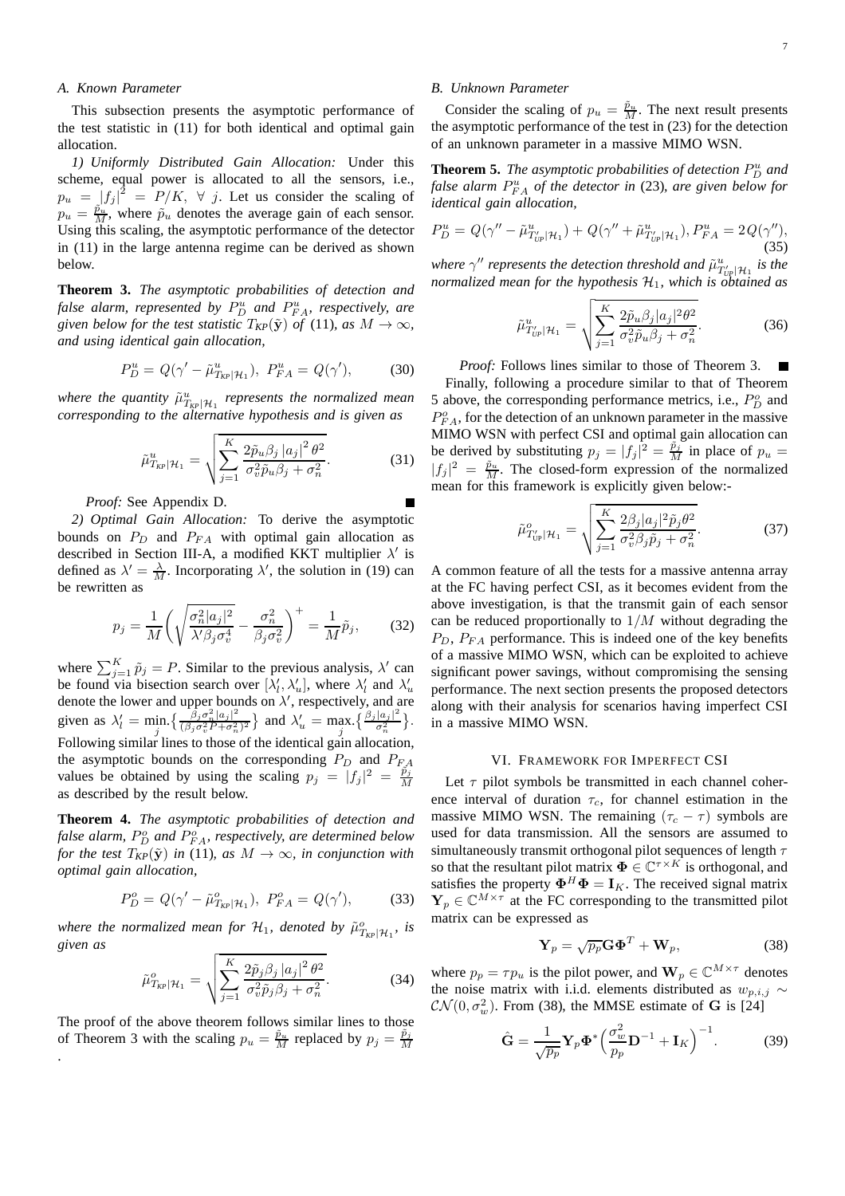## *A. Known Parameter*

This subsection presents the asymptotic performance of the test statistic in (11) for both identical and optimal gain allocation.

*1) Uniformly Distributed Gain Allocation:* Under this scheme, equal power is allocated to all the sensors, i.e.,  $p_u = |f_j|^2 = P/K$ ,  $\forall j$ . Let us consider the scaling of  $p_u = \frac{\tilde{p}_u}{M}$ , where  $\tilde{p}_u$  denotes the average gain of each sensor. Using this scaling, the asymptotic performance of the detector in (11) in the large antenna regime can be derived as shown below.

**Theorem 3.** *The asymptotic probabilities of detection and* false alarm, represented by  $P_D^u$  and  $P_{FA}^u$ , respectively, are *given below for the test statistic*  $T_{KP}(\tilde{y})$  *of* (11)*, as*  $M \to \infty$ *, and using identical gain allocation,*

$$
P_D^u = Q(\gamma' - \tilde{\mu}_{T_{KP}|\mathcal{H}_1}^u), \ P_{FA}^u = Q(\gamma'), \tag{30}
$$

where the quantity  $\tilde{\mu}^u_{T_{KP}|\mathcal{H}_1}$  represents the normalized mean *corresponding to the alternative hypothesis and is given as*

$$
\tilde{\mu}_{T_{KP}|\mathcal{H}_1}^u = \sqrt{\sum_{j=1}^K \frac{2\tilde{p}_u \beta_j \left|a_j\right|^2 \theta^2}{\sigma_v^2 \tilde{p}_u \beta_j + \sigma_n^2}}.
$$
\n(31)

*Proof:* See Appendix D.

*2) Optimal Gain Allocation:* To derive the asymptotic bounds on  $P_D$  and  $P_{FA}$  with optimal gain allocation as described in Section III-A, a modified KKT multiplier  $\lambda'$  is defined as  $\lambda' = \frac{\lambda}{M}$ . Incorporating  $\lambda'$ , the solution in (19) can be rewritten as

$$
p_j = \frac{1}{M} \left( \sqrt{\frac{\sigma_n^2 |a_j|^2}{\lambda' \beta_j \sigma_v^4}} - \frac{\sigma_n^2}{\beta_j \sigma_v^2} \right)^+ = \frac{1}{M} \tilde{p}_j, \qquad (32)
$$

where  $\sum_{j=1}^{K} \tilde{p}_j = P$ . Similar to the previous analysis,  $\lambda'$  can be found via bisection search over  $[\lambda'_l, \lambda'_u]$ , where  $\lambda'_l$  and  $\lambda'_u$ denote the lower and upper bounds on  $\lambda'$ , respectively, and are given as  $\lambda'_l = \min_j \left\{ \frac{\beta_j \sigma_n^2 |a_j|^2}{(\beta_j \sigma_v^2 P + \sigma_n^2)} \right\}$  $\left(\frac{\beta_j \sigma_n^2 |a_j|^2}{(\beta_j \sigma_v^2 P + \sigma_n^2)^2}\right)$  and  $\lambda'_u = \max_j \left\{\frac{\beta_j |a_j|^2}{\sigma_n^2}\right\}$  $\frac{|a_j|^2}{\sigma_n^2}$ . Following similar lines to those of the identical gain allocation, the asymptotic bounds on the corresponding  $P_D$  and  $P_{FA}$ values be obtained by using the scaling  $p_j = |f_j|^2 = \frac{\tilde{p}_j}{M}$ M as described by the result below.

**Theorem 4.** *The asymptotic probabilities of detection and* false alarm,  $P_D^o$  and  $P_{FA}^o$ , respectively, are determined below *for the test*  $T_{\text{KP}}(\tilde{y})$  *in* (11)*, as*  $M \to \infty$ *, in conjunction with optimal gain allocation,*

$$
P_D^o = Q(\gamma' - \tilde{\mu}_{T_{KP}|\mathcal{H}_1}^o), \ P_{FA}^o = Q(\gamma'), \tag{33}
$$

*where the normalized mean for*  $\mathcal{H}_1$ *, denoted by*  $\tilde{\mu}^o_{T_{KP}|\mathcal{H}_1}$ *, is given as*

$$
\tilde{\mu}^o_{T_{\mathsf{KP}}|\mathcal{H}_1} = \sqrt{\sum_{j=1}^K \frac{2\tilde{p}_j \beta_j |a_j|^2 \theta^2}{\sigma_v^2 \tilde{p}_j \beta_j + \sigma_n^2}}.
$$
\n(34)

The proof of the above theorem follows similar lines to those of Theorem 3 with the scaling  $p_u = \frac{\tilde{p}_u}{M}$  replaced by  $p_j = \frac{\tilde{p}_j}{M}$ M .

# *B. Unknown Parameter*

Consider the scaling of  $p_u = \frac{\tilde{p}_u}{M}$ . The next result presents the asymptotic performance of the test in (23) for the detection of an unknown parameter in a massive MIMO WSN.

**Theorem 5.** The asymptotic probabilities of detection  $P_D^u$  and false alarm  $P_{FA}^u$  of the detector in (23), are given below for *identical gain allocation,*

$$
P_D^u = Q(\gamma'' - \tilde{\mu}_{T_{UP}'}^u | \mathcal{H}_1) + Q(\gamma'' + \tilde{\mu}_{T_{UP}}^u | \mathcal{H}_1), P_{FA}^u = 2Q(\gamma''),
$$
\n(35)

*where*  $\gamma''$  *represents the detection threshold and*  $\tilde{\mu}^u_{U_{\gamma}}|\mathcal{H}_1$  *is the normalized mean for the hypothesis* H1*, which is obtained as*

$$
\tilde{\mu}^u_{T'_{UP}|\mathcal{H}_1} = \sqrt{\sum_{j=1}^K \frac{2\tilde{p}_u \beta_j |a_j|^2 \theta^2}{\sigma_v^2 \tilde{p}_u \beta_j + \sigma_n^2}}.
$$
\n(36)

*Proof:* Follows lines similar to those of Theorem 3. Finally, following a procedure similar to that of Theorem 5 above, the corresponding performance metrics, i.e.,  $P_D^o$  and  $P_{FA}^o$ , for the detection of an unknown parameter in the massive MIMO WSN with perfect CSI and optimal gain allocation can be derived by substituting  $p_j = |f_j|^2 = \frac{\tilde{p}_j}{M}$  in place of  $p_u =$  $|f_j|^2 = \frac{\tilde{p}_u}{M}$ . The closed-form expression of the normalized mean for this framework is explicitly given below:-

$$
\tilde{\mu}^o_{T'_{\text{UP}}|\mathcal{H}_1} = \sqrt{\sum_{j=1}^K \frac{2\beta_j |a_j|^2 \tilde{p}_j \theta^2}{\sigma_v^2 \beta_j \tilde{p}_j + \sigma_n^2}}.
$$
\n(37)

A common feature of all the tests for a massive antenna array at the FC having perfect CSI, as it becomes evident from the above investigation, is that the transmit gain of each sensor can be reduced proportionally to  $1/M$  without degrading the  $P_D$ ,  $P_{FA}$  performance. This is indeed one of the key benefits of a massive MIMO WSN, which can be exploited to achieve significant power savings, without compromising the sensing performance. The next section presents the proposed detectors along with their analysis for scenarios having imperfect CSI in a massive MIMO WSN.

#### VI. FRAMEWORK FOR IMPERFECT CSI

Let  $\tau$  pilot symbols be transmitted in each channel coherence interval of duration  $\tau_c$ , for channel estimation in the massive MIMO WSN. The remaining  $(\tau_c - \tau)$  symbols are used for data transmission. All the sensors are assumed to simultaneously transmit orthogonal pilot sequences of length  $\tau$ so that the resultant pilot matrix  $\mathbf{\Phi} \in \mathbb{C}^{\tau \times K}$  is orthogonal, and satisfies the property  $\mathbf{\Phi}^H \mathbf{\Phi} = \mathbf{I}_K$ . The received signal matrix  $\mathbf{Y}_p \in \mathbb{C}^{M \times \tau}$  at the FC corresponding to the transmitted pilot matrix can be expressed as

$$
\mathbf{Y}_p = \sqrt{p_p} \mathbf{G} \mathbf{\Phi}^T + \mathbf{W}_p, \tag{38}
$$

where  $p_p = \tau p_u$  is the pilot power, and  $\mathbf{W}_p \in \mathbb{C}^{M \times \tau}$  denotes the noise matrix with i.i.d. elements distributed as  $w_{p,i,j} \sim$  $CN(0, \sigma_w^2)$ . From (38), the MMSE estimate of G is [24]

$$
\hat{\mathbf{G}} = \frac{1}{\sqrt{p_p}} \mathbf{Y}_p \mathbf{\Phi}^* \left( \frac{\sigma_w^2}{p_p} \mathbf{D}^{-1} + \mathbf{I}_K \right)^{-1} . \tag{39}
$$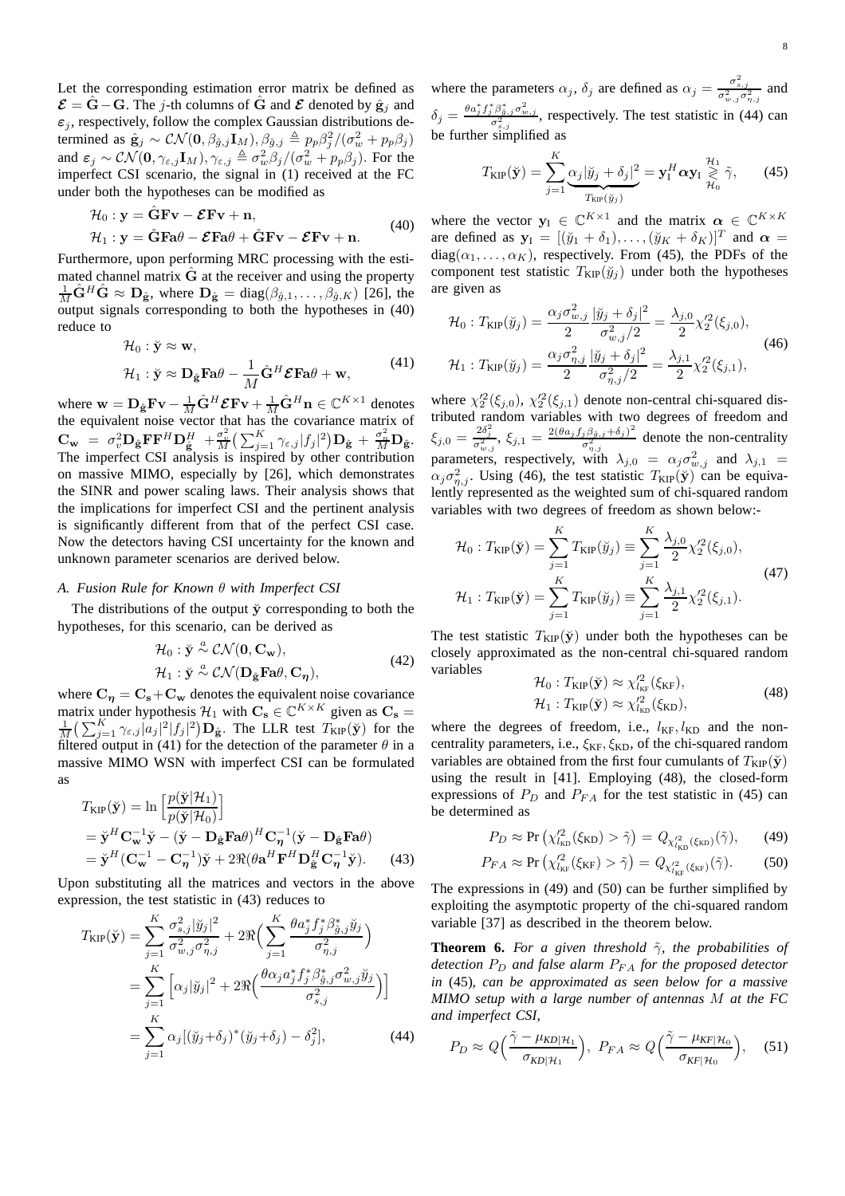Let the corresponding estimation error matrix be defined as  $\mathcal{E} = \hat{G} - G$ . The j-th columns of  $\hat{G}$  and  $\mathcal{E}$  denoted by  $\hat{g}_i$  and  $\varepsilon_i$ , respectively, follow the complex Gaussian distributions determined as  $\hat{\mathbf{g}}_j \sim \mathcal{CN}(\mathbf{0}, \beta_{\hat{g},j} \mathbf{I}_M), \beta_{\hat{g},j} \triangleq p_p \beta_j^2/(\sigma_w^2 + p_p \beta_j)$ and  $\varepsilon_j \sim \mathcal{CN}(\mathbf{0}, \gamma_{\varepsilon,j} \mathbf{I}_M), \gamma_{\varepsilon,j} \triangleq \sigma_w^2 \beta_j / (\sigma_w^2 + p_p \beta_j)$ . For the imperfect CSI scenario, the signal in (1) received at the FC under both the hypotheses can be modified as

$$
\mathcal{H}_0: \mathbf{y} = \hat{\mathbf{G}} \mathbf{F} \mathbf{v} - \mathcal{E} \mathbf{F} \mathbf{v} + \mathbf{n}, \n\mathcal{H}_1: \mathbf{y} = \hat{\mathbf{G}} \mathbf{F} \mathbf{a} \theta - \mathcal{E} \mathbf{F} \mathbf{a} \theta + \hat{\mathbf{G}} \mathbf{F} \mathbf{v} - \mathcal{E} \mathbf{F} \mathbf{v} + \mathbf{n}.
$$
\n(40)

Furthermore, upon performing MRC processing with the estimated channel matrix  $\tilde{G}$  at the receiver and using the property  $\frac{1}{M}\hat{\mathbf{G}}^H\hat{\mathbf{G}} \approx \mathbf{D}_{\hat{\mathbf{g}}},$  where  $\mathbf{D}_{\hat{\mathbf{g}}} = \text{diag}(\beta_{\hat{g},1}, \dots, \beta_{\hat{g},K})$  [26], the output signals corresponding to both the hypotheses in (40) reduce to

$$
\mathcal{H}_0: \check{\mathbf{y}} \approx \mathbf{w},
$$
  

$$
\mathcal{H}_1: \check{\mathbf{y}} \approx \mathbf{D}_{\hat{\mathbf{g}}} \mathbf{F} \mathbf{a} \theta - \frac{1}{M} \hat{\mathbf{G}}^H \mathbf{\mathcal{E}} \mathbf{F} \mathbf{a} \theta + \mathbf{w},
$$
 (41)

where  $\mathbf{w} = \mathbf{D}_{\hat{\mathbf{g}}} \mathbf{F} \mathbf{v} - \frac{1}{M} \hat{\mathbf{G}}^H \mathbf{\mathcal{E}} \mathbf{F} \mathbf{v} + \frac{1}{M} \hat{\mathbf{G}}^H \mathbf{n} \in \mathbb{C}^{K \times 1}$  denotes the equivalent noise vector that has the covariance matrix of  $\mathbf{C_w}$  =  $\sigma_v^2 \mathbf{D_{\hat{g}}}\mathbf{F} \mathbf{F}^H \mathbf{D_{\hat{g}}^H} + \frac{\sigma_w^2}{M} \big( \sum_{j=1}^K \gamma_{\varepsilon,j} |f_j|^2 \big) \mathbf{D_{\hat{g}}} + \frac{\sigma_n^2}{M} \mathbf{D_{\hat{g}}}.$ The imperfect CSI analysis is inspired by other contribution on massive MIMO, especially by [26], which demonstrates the SINR and power scaling laws. Their analysis shows that the implications for imperfect CSI and the pertinent analysis is significantly different from that of the perfect CSI case. Now the detectors having CSI uncertainty for the known and unknown parameter scenarios are derived below.

## *A. Fusion Rule for Known* θ *with Imperfect CSI*

The distributions of the output  $\check{y}$  corresponding to both the hypotheses, for this scenario, can be derived as

$$
\mathcal{H}_0: \check{\mathbf{y}} \stackrel{a}{\sim} \mathcal{CN}(\mathbf{0}, \mathbf{C}_{\mathbf{w}}), \n\mathcal{H}_1: \check{\mathbf{y}} \stackrel{a}{\sim} \mathcal{CN}(\mathbf{D}_{\hat{\mathbf{g}}}\mathbf{F}\mathbf{a}\theta, \mathbf{C}_{\eta}),
$$
\n(42)

where  $C_n = C_s + C_w$  denotes the equivalent noise covariance matrix under hypothesis  $\mathcal{H}_1$  with  $\mathbf{C}_s \in \mathbb{C}^{K \times K}$  given as  $\mathbf{C}_s =$  $\frac{1}{M} \left( \sum_{j=1}^K \gamma_{\varepsilon,j} |a_j|^2 |f_j|^2 \right) \mathbf{D}_{\hat{\mathbf{g}}}$ . The LLR test  $T_{\text{KIP}}(\check{\mathbf{y}})$  for the filtered output in (41) for the detection of the parameter  $\theta$  in a massive MIMO WSN with imperfect CSI can be formulated as

$$
T_{\text{KIP}}(\check{\mathbf{y}}) = \ln \left[ \frac{p(\check{\mathbf{y}}|\mathcal{H}_1)}{p(\check{\mathbf{y}}|\mathcal{H}_0)} \right]
$$
  
=  $\check{\mathbf{y}}^H \mathbf{C}_{\mathbf{w}}^{-1} \check{\mathbf{y}} - (\check{\mathbf{y}} - \mathbf{D}_{\hat{\mathbf{g}}} \mathbf{F} \mathbf{a} \theta)^H \mathbf{C}_{\eta}^{-1} (\check{\mathbf{y}} - \mathbf{D}_{\hat{\mathbf{g}}} \mathbf{F} \mathbf{a} \theta)$   
=  $\check{\mathbf{y}}^H (\mathbf{C}_{\mathbf{w}}^{-1} - \mathbf{C}_{\eta}^{-1}) \check{\mathbf{y}} + 2 \Re(\theta \mathbf{a}^H \mathbf{F}^H \mathbf{D}_{\hat{\mathbf{g}}}^H \mathbf{C}_{\eta}^{-1} \check{\mathbf{y}}).$  (43)

Upon substituting all the matrices and vectors in the above expression, the test statistic in (43) reduces to

$$
T_{\text{KIP}}(\check{\mathbf{y}}) = \sum_{j=1}^{K} \frac{\sigma_{s,j}^{2} |\check{y}_{j}|^{2}}{\sigma_{w,j}^{2} \sigma_{\eta,j}^{2}} + 2 \Re \Big( \sum_{j=1}^{K} \frac{\theta a_{j}^{*} f_{j}^{*} \beta_{\hat{g},j}^{*} \check{y}_{j}}{\sigma_{\eta,j}^{2}} \Big)
$$
  
= 
$$
\sum_{j=1}^{K} \Big[ \alpha_{j} |\check{y}_{j}|^{2} + 2 \Re \Big( \frac{\theta \alpha_{j} a_{j}^{*} f_{j}^{*} \beta_{\hat{g},j}^{*} \sigma_{w,j}^{2} \check{y}_{j}}{\sigma_{s,j}^{2}} \Big) \Big]
$$
  
= 
$$
\sum_{j=1}^{K} \alpha_{j} [(\check{y}_{j} + \delta_{j})^{*} (\check{y}_{j} + \delta_{j}) - \delta_{j}^{2}], \qquad (44)
$$

where the parameters  $\alpha_j$ ,  $\delta_j$  are defined as  $\alpha_j = \frac{\sigma_{s,j}^2}{\sigma_{w,j}^2 \sigma_{n,j}^2}$  and  $\delta_j = \frac{\theta a_j^* f_j^* \beta_{\hat{a},j}^* \sigma_{w,j}^2}{\sigma_{s,j}^2}$ , respectively. The test statistic in (44) can be further simplified as

$$
T_{\text{KIP}}(\check{\mathbf{y}}) = \sum_{j=1}^{K} \underbrace{\alpha_j |\check{y}_j + \delta_j|^2}_{T_{\text{KIP}}(\check{y}_j)} = \mathbf{y}_1^H \boldsymbol{\alpha} \mathbf{y}_1 \underset{\mathcal{H}_0}{\overset{\mathcal{H}_1}{\geq}} \tilde{\gamma}, \qquad (45)
$$

where the vector  $y_1 \in \mathbb{C}^{K \times 1}$  and the matrix  $\alpha \in \mathbb{C}^{K \times K}$ are defined as  $y_I = [(\check{y}_1 + \delta_1), \dots, (\check{y}_K + \delta_K)]^T$  and  $\alpha =$  $diag(\alpha_1, \ldots, \alpha_K)$ , respectively. From (45), the PDFs of the component test statistic  $T_{\text{KIP}}(\breve{y}_j)$  under both the hypotheses are given as

$$
\mathcal{H}_0: T_{\text{KIP}}(\check{y}_j) = \frac{\alpha_j \sigma_{w,j}^2}{2} \frac{|\check{y}_j + \delta_j|^2}{\sigma_{w,j}^2/2} = \frac{\lambda_{j,0}}{2} \chi_2'^2(\xi_{j,0}),
$$
\n
$$
\mathcal{H}_1: T_{\text{KIP}}(\check{y}_j) = \frac{\alpha_j \sigma_{\eta,j}^2}{2} \frac{|\check{y}_j + \delta_j|^2}{\sigma_{\eta,j}^2/2} = \frac{\lambda_{j,1}}{2} \chi_2'^2(\xi_{j,1}),
$$
\n(46)

where  $\chi_2^2(\xi_{j,0}), \chi_2^2(\xi_{j,1})$  denote non-central chi-squared distributed random variables with two degrees of freedom and  $\xi_{j,0} = \frac{2\delta_j^2}{\sigma_{w,j}^2}, \, \xi_{j,1} = \frac{2(\theta a_j f_j \beta_{\hat{g},j} + \delta_j)^2}{\sigma_{\eta,j}^2}$  $\frac{\partial^{\beta} \hat{\beta}_{\beta,j} + \partial_j}{\partial_{\eta,j}^2}$  denote the non-centrality parameters, respectively, with  $\lambda_{j,0} = \alpha_j \sigma_{w,j}^2$  and  $\lambda_{j,1} =$  $\alpha_j \sigma_{\eta,j}^2$ . Using (46), the test statistic  $T_{\text{KIP}}(\check{y})$  can be equivalently represented as the weighted sum of chi-squared random variables with two degrees of freedom as shown below:-

$$
\mathcal{H}_0: T_{\text{KIP}}(\check{\mathbf{y}}) = \sum_{j=1}^K T_{\text{KIP}}(\check{y}_j) \equiv \sum_{j=1}^K \frac{\lambda_{j,0}}{2} \chi_2'^2(\xi_{j,0}),
$$
  

$$
\mathcal{H}_1: T_{\text{KIP}}(\check{\mathbf{y}}) = \sum_{j=1}^K T_{\text{KIP}}(\check{y}_j) \equiv \sum_{j=1}^K \frac{\lambda_{j,1}}{2} \chi_2'^2(\xi_{j,1}).
$$
\n(47)

The test statistic  $T_{\text{KIP}}(\check{y})$  under both the hypotheses can be closely approximated as the non-central chi-squared random variables

$$
\mathcal{H}_0: T_{\text{KIP}}(\check{\mathbf{y}}) \approx \chi_{l_{\text{KF}}}^{\prime 2}(\xi_{\text{KF}}),
$$
  

$$
\mathcal{H}_1: T_{\text{KIP}}(\check{\mathbf{y}}) \approx \chi_{l_{\text{KD}}}^{\prime 2}(\xi_{\text{KD}}),
$$
 (48)

where the degrees of freedom, i.e.,  $l_{\text{KF}}, l_{\text{KD}}$  and the noncentrality parameters, i.e.,  $\xi_{\text{KF}}, \xi_{\text{KD}}$ , of the chi-squared random variables are obtained from the first four cumulants of  $T_{\text{KIP}}(\check{y})$ using the result in [41]. Employing (48), the closed-form expressions of  $P_D$  and  $P_{FA}$  for the test statistic in (45) can be determined as

$$
P_D \approx \Pr\left(\chi_{l_{\text{KD}}}^{\prime 2}(\xi_{\text{KD}}) > \tilde{\gamma}\right) = Q_{\chi_{l_{\text{KD}}}^{\prime 2}(\xi_{\text{KD}})}(\tilde{\gamma}),\tag{49}
$$

$$
P_{FA} \approx \Pr\left(\chi_{l_{\rm K}f}^{2}(\xi_{\rm K}F) > \tilde{\gamma}\right) = Q_{\chi_{l_{\rm K}f}^{2}(\xi_{\rm K}F)}(\tilde{\gamma}).\tag{50}
$$

The expressions in (49) and (50) can be further simplified by exploiting the asymptotic property of the chi-squared random variable [37] as described in the theorem below.

**Theorem 6.** For a given threshold  $\tilde{\gamma}$ , the probabilities of *detection*  $P_D$  *and false alarm*  $P_{FA}$  *for the proposed detector in* (45)*, can be approximated as seen below for a massive MIMO setup with a large number of antennas* M *at the FC and imperfect CSI,*

$$
P_D \approx Q\Big(\frac{\tilde{\gamma} - \mu_{KD|\mathcal{H}_1}}{\sigma_{KD|\mathcal{H}_1}}\Big), \ P_{FA} \approx Q\Big(\frac{\tilde{\gamma} - \mu_{KF|\mathcal{H}_0}}{\sigma_{KF|\mathcal{H}_0}}\Big), \quad (51)
$$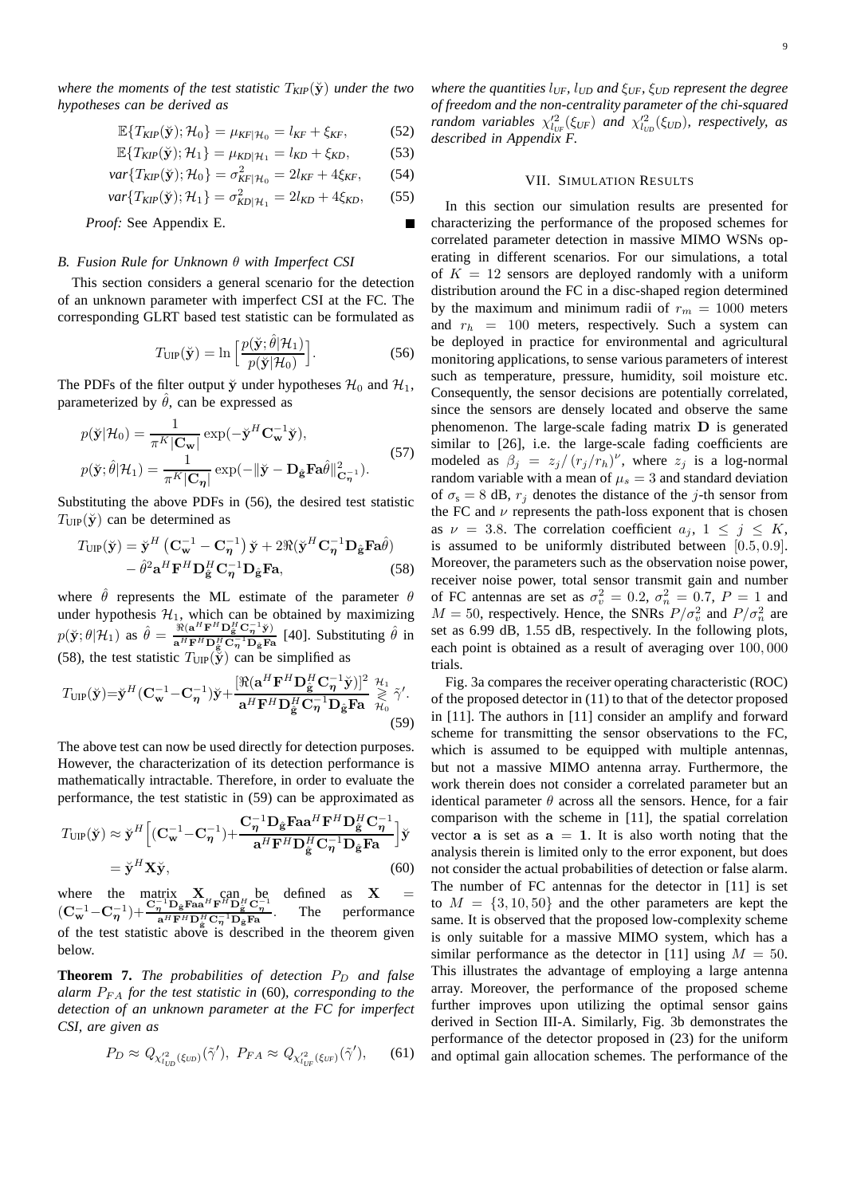*where the moments of the test statistic*  $T_{KIP}(\breve{\mathbf{y}})$  *under the two hypotheses can be derived as*

$$
\mathbb{E}\{T_{KIP}(\breve{\mathbf{y}}); \mathcal{H}_0\} = \mu_{KF|\mathcal{H}_0} = l_{KF} + \xi_{KF},
$$
(52)

$$
\mathbb{E}\{T_{KIP}(\breve{\mathbf{y}}); \mathcal{H}_1\} = \mu_{KD|\mathcal{H}_1} = l_{KD} + \xi_{KD}, \tag{53}
$$

$$
var{T_{KIP}(\breve{\mathbf{y}}); \mathcal{H}_0} = \sigma_{K_F|\mathcal{H}_0}^2 = 2l_{KF} + 4\xi_{KF},
$$
 (54)

$$
var{T_{KIP}(\check{y}); \mathcal{H}_1} = \sigma_{KD|\mathcal{H}_1}^2 = 2l_{KD} + 4\xi_{KD},
$$
 (55)

*Proof:* See Appendix E.

## *B. Fusion Rule for Unknown* θ *with Imperfect CSI*

This section considers a general scenario for the detection of an unknown parameter with imperfect CSI at the FC. The corresponding GLRT based test statistic can be formulated as

$$
T_{\text{UP}}(\check{\mathbf{y}}) = \ln \left[ \frac{p(\check{\mathbf{y}}; \hat{\theta} | \mathcal{H}_1)}{p(\check{\mathbf{y}} | \mathcal{H}_0)} \right].
$$
 (56)

Е

The PDFs of the filter output  $\ddot{y}$  under hypotheses  $\mathcal{H}_0$  and  $\mathcal{H}_1$ , parameterized by  $\hat{\theta}$ , can be expressed as

$$
p(\breve{\mathbf{y}}|\mathcal{H}_0) = \frac{1}{\pi^K |\mathbf{C}_{\mathbf{w}}|} \exp(-\breve{\mathbf{y}}^H \mathbf{C}_{\mathbf{w}}^{-1} \breve{\mathbf{y}}),
$$
  
\n
$$
p(\breve{\mathbf{y}}; \hat{\theta}|\mathcal{H}_1) = \frac{1}{\pi^K |\mathbf{C}_{\eta}|} \exp(-\|\breve{\mathbf{y}} - \mathbf{D}_{\hat{\mathbf{g}}} \mathbf{F} \mathbf{a} \hat{\theta}\|_{\mathbf{C}_{\eta}}^2).
$$
\n(57)

Substituting the above PDFs in (56), the desired test statistic  $T_{\text{UIP}}(\check{\mathbf{y}})$  can be determined as

$$
T_{\text{UIP}}(\breve{\mathbf{y}}) = \breve{\mathbf{y}}^{H} \left( \mathbf{C}_{\mathbf{w}}^{-1} - \mathbf{C}_{\boldsymbol{\eta}}^{-1} \right) \breve{\mathbf{y}} + 2 \Re(\breve{\mathbf{y}}^{H} \mathbf{C}_{\boldsymbol{\eta}}^{-1} \mathbf{D}_{\hat{\mathbf{g}}} \mathbf{F} \mathbf{a} \hat{\theta}) - \hat{\theta}^{2} \mathbf{a}^{H} \mathbf{F}^{H} \mathbf{D}_{\hat{\mathbf{g}}}^{H} \mathbf{C}_{\boldsymbol{\eta}}^{-1} \mathbf{D}_{\hat{\mathbf{g}}} \mathbf{F} \mathbf{a}, \tag{58}
$$

where  $\hat{\theta}$  represents the ML estimate of the parameter  $\theta$ under hypothesis  $\mathcal{H}_1$ , which can be obtained by maximizing  $p(\breve{\mathbf{y}};\theta|\mathcal{H}_1)$  as  $\hat{\theta} = \frac{\Re(\mathbf{a}^H \mathbf{F}^H \mathbf{D}_{\hat{\mathbf{g}}}^H \mathbf{C}_{\eta}^{-1} \breve{\mathbf{y}})}{\mathbf{a}^H \mathbf{F}^H \mathbf{D}_{\hat{\mathbf{g}}}^H \mathbf{C}_{\eta}^{-1} \mathbf{D}_{\theta} \mathbf{F}^{\mathbf{g}}}$  $\frac{\Re(\mathbf{a}^H \mathbf{F}^H \mathbf{D}_{\tilde{\mathbf{g}}}^H \mathbf{C}_{\eta}^{-1} \tilde{\mathbf{y}})}{\mathbf{a}^H \mathbf{F}^H \mathbf{D}_{\tilde{\mathbf{g}}}^H \mathbf{C}_{\eta}^{-1} \mathbf{D}_{\tilde{\mathbf{g}}} \mathbf{F} \mathbf{a}}$  [40]. Substituting  $\hat{\theta}$  in (58), the test statistic  $T_{\text{HP}}(\tilde{\tilde{y}})$  can be simplified as

$$
T_{\text{UIP}}(\check{\mathbf{y}}) = \check{\mathbf{y}}^H (\mathbf{C}_{\mathbf{w}}^{-1} - \mathbf{C}_{\boldsymbol{\eta}}^{-1}) \check{\mathbf{y}} + \frac{[\Re(\mathbf{a}^H \mathbf{F}^H \mathbf{D}_{\hat{\mathbf{g}}}^H \mathbf{C}_{\boldsymbol{\eta}}^{-1} \check{\mathbf{y}})]^2}{\mathbf{a}^H \mathbf{F}^H \mathbf{D}_{\hat{\mathbf{g}}}^H \mathbf{C}_{\boldsymbol{\eta}}^{-1} \mathbf{D}_{\hat{\mathbf{g}}} \mathbf{F} \mathbf{a}} \overset{\mathcal{H}_1}{\underset{\mathcal{H}_0}{\gtrsim}} \tilde{\gamma}'. \tag{59}
$$

The above test can now be used directly for detection purposes. However, the characterization of its detection performance is mathematically intractable. Therefore, in order to evaluate the performance, the test statistic in (59) can be approximated as

$$
T_{\text{UP}}(\check{\mathbf{y}}) \approx \check{\mathbf{y}}^{H} \Big[ (\mathbf{C}_{\mathbf{w}}^{-1} - \mathbf{C}_{\boldsymbol{\eta}}^{-1}) + \frac{\mathbf{C}_{\boldsymbol{\eta}}^{-1} \mathbf{D}_{\hat{\mathbf{g}}} \mathbf{F} \mathbf{a} \mathbf{a}^{H} \mathbf{F}^{H} \mathbf{D}_{\hat{\mathbf{g}}}^{H} \mathbf{C}_{\boldsymbol{\eta}}^{-1}}{\mathbf{a}^{H} \mathbf{F}^{H} \mathbf{D}_{\hat{\mathbf{g}}}^{H} \mathbf{C}_{\boldsymbol{\eta}}^{-1} \mathbf{D}_{\hat{\mathbf{g}}} \mathbf{F} \mathbf{a}} \Big] \check{\mathbf{y}}
$$
  
=  $\check{\mathbf{y}}^{H} \mathbf{X} \check{\mathbf{y}},$  (60)

where the matrix  $X_{\mu}$  can be defined as  $X =$ where the  $(\mathbf{C}_{\mathbf{w}}^{-1}-\mathbf{C}_{\eta}^{-1})+\frac{\mathbf{C}_{\eta}^{-1}\mathbf{D}_{\hat{\mathbf{g}}}\mathbf{F}\mathbf{a}^{H}\mathbf{F}^{H}\mathbf{D}_{\hat{\mathbf{g}}}^{H}\mathbf{C}_{\eta}^{-1}}{a^{H}\mathbf{F}^{H}\mathbf{D}_{\hat{\mathbf{g}}}^{H}\mathbf{C}_{\eta}^{-1}\mathbf{D}_{\hat{\mathbf{g}}}\mathbf{F}\mathbf{a}}$ . The performance of the test statistic above is described in the theorem given below.

**Theorem 7.** *The probabilities of detection*  $P_D$  *and false alarm*  $P_{FA}$  *for the test statistic in* (60)*, corresponding to the detection of an unknown parameter at the FC for imperfect CSI, are given as*

$$
P_D \approx Q_{\chi_{l_{UD}}^{\prime 2}(\xi_{U_D})}(\tilde{\gamma}'), \ P_{FA} \approx Q_{\chi_{l_{UF}}^{\prime 2}(\xi_{UF})}(\tilde{\gamma}'), \qquad (61)
$$

*where the quantities* l*UF,* l*UD and* ξ*UF,* ξ*UD represent the degree of freedom and the non-centrality parameter of the chi-squared random variables*  $\chi^{2}_{l_{UF}}(\xi_{UF})$  *and*  $\chi^{2}_{l_{UD}}(\xi_{UD})$ *, respectively, as described in Appendix F.*

# VII. SIMULATION RESULTS

In this section our simulation results are presented for characterizing the performance of the proposed schemes for correlated parameter detection in massive MIMO WSNs operating in different scenarios. For our simulations, a total of  $K = 12$  sensors are deployed randomly with a uniform distribution around the FC in a disc-shaped region determined by the maximum and minimum radii of  $r_m = 1000$  meters and  $r_h = 100$  meters, respectively. Such a system can be deployed in practice for environmental and agricultural monitoring applications, to sense various parameters of interest such as temperature, pressure, humidity, soil moisture etc. Consequently, the sensor decisions are potentially correlated, since the sensors are densely located and observe the same phenomenon. The large-scale fading matrix D is generated similar to [26], i.e. the large-scale fading coefficients are modeled as  $\beta_j = z_j/(r_j/r_h)^{\nu}$ , where  $z_j$  is a log-normal random variable with a mean of  $\mu_s = 3$  and standard deviation of  $\sigma_s = 8$  dB,  $r_j$  denotes the distance of the j-th sensor from the FC and  $\nu$  represents the path-loss exponent that is chosen as  $\nu = 3.8$ . The correlation coefficient  $a_i, 1 \leq j \leq K$ , is assumed to be uniformly distributed between  $[0.5, 0.9]$ . Moreover, the parameters such as the observation noise power, receiver noise power, total sensor transmit gain and number of FC antennas are set as  $\sigma_v^2 = 0.2$ ,  $\sigma_n^2 = 0.7$ ,  $P = 1$  and  $M = 50$ , respectively. Hence, the SNRs  $P/\sigma_v^2$  and  $P/\sigma_n^2$  are set as 6.99 dB, 1.55 dB, respectively. In the following plots, each point is obtained as a result of averaging over 100, 000 trials.

Fig. 3a compares the receiver operating characteristic (ROC) of the proposed detector in (11) to that of the detector proposed in [11]. The authors in [11] consider an amplify and forward scheme for transmitting the sensor observations to the FC, which is assumed to be equipped with multiple antennas, but not a massive MIMO antenna array. Furthermore, the work therein does not consider a correlated parameter but an identical parameter  $\theta$  across all the sensors. Hence, for a fair comparison with the scheme in [11], the spatial correlation vector **a** is set as  $a = 1$ . It is also worth noting that the analysis therein is limited only to the error exponent, but does not consider the actual probabilities of detection or false alarm. The number of FC antennas for the detector in [11] is set to  $M = \{3, 10, 50\}$  and the other parameters are kept the same. It is observed that the proposed low-complexity scheme is only suitable for a massive MIMO system, which has a similar performance as the detector in [11] using  $M = 50$ . This illustrates the advantage of employing a large antenna array. Moreover, the performance of the proposed scheme further improves upon utilizing the optimal sensor gains derived in Section III-A. Similarly, Fig. 3b demonstrates the performance of the detector proposed in (23) for the uniform and optimal gain allocation schemes. The performance of the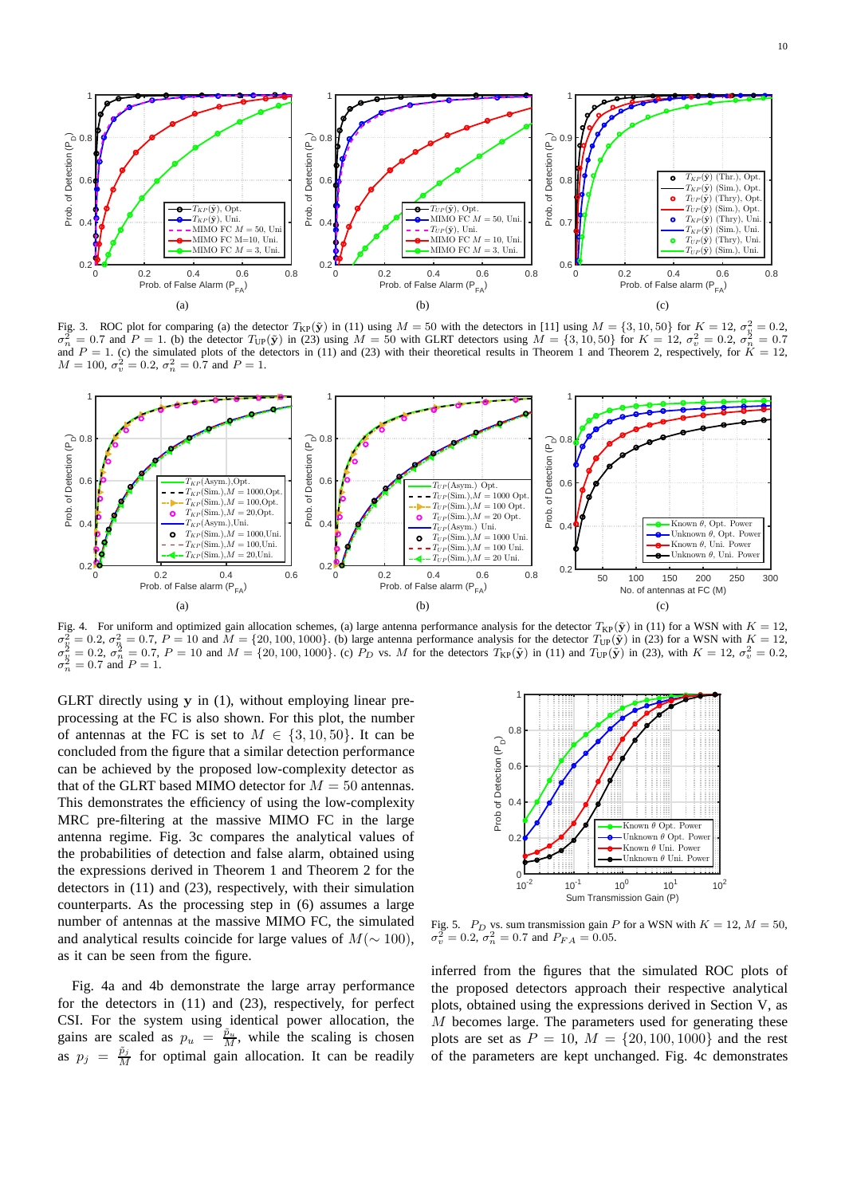

Fig. 3. ROC plot for comparing (a) the detector  $T_{KP}(\tilde{y})$  in (11) using  $M = 50$  with the detectors in [11] using  $M = \{3, 10, 50\}$  for  $K = 12$ ,  $\sigma_v^2 = 0.2$ ,  $\sigma_n^2 = 0.7$  and  $P = 1$ . (b) the detector  $T_{\text{UP}}(\tilde{\mathbf{y}})$  in (23) using  $M = 50$  with GLRT detectors using  $M = \{3, 10, 50\}$  for  $K = 12$ ,  $\sigma_v^2 = 0.2$ ,  $\sigma_n^2 = 0.7$ and  $P = 1$ . (c) the simulated plots of the detectors in (11) and (23) with their theoretical results in Theorem 1 and Theorem 2, respectively, for  $K = 12$ ,  $M = 100, \sigma_v^2 = 0.2, \sigma_n^2 = 0.7$  and  $P = 1$ .



Fig. 4. For uniform and optimized gain allocation schemes, (a) large antenna performance analysis for the detector  $T_{KP}(\tilde{y})$  in (11) for a WSN with  $K = 12$ ,  $\sigma_v^2$  $\frac{3}{v} = 0.2$ ,  $\sigma_n^2 = 0.7$ ,  $P = 10$  and  $\tilde{M} = \{20, 100, 1000\}$ . (b) large antenna performance analysis for the detector  $T_{\text{UP}}(\tilde{\mathbf{y}})$  in (23) for a WSN with  $K = 12$ ,  $\sigma_v^2$  $v_y^2 = 0.2$ ,  $\sigma_n^2 = 0.7$ ,  $P = 10$  and  $M = \{20, 100, 1000\}$ . (c)  $\tilde{P}_D$  vs. M for the detectors  $T_{KP}(\tilde{y})$  in (11) and  $T_{UP}(\tilde{y})$  in (23), with  $K = 12$ ,  $\sigma_v^2 = 0.2$ ,  $\sigma_n^2$  $= 0.7$  and  $P = 1$ .

GLRT directly using y in (1), without employing linear preprocessing at the FC is also shown. For this plot, the number of antennas at the FC is set to  $M \in \{3, 10, 50\}$ . It can be concluded from the figure that a similar detection performance can be achieved by the proposed low-complexity detector as that of the GLRT based MIMO detector for  $M = 50$  antennas. This demonstrates the efficiency of using the low-complexity MRC pre-filtering at the massive MIMO FC in the large antenna regime. Fig. 3c compares the analytical values of the probabilities of detection and false alarm, obtained using the expressions derived in Theorem 1 and Theorem 2 for the detectors in (11) and (23), respectively, with their simulation counterparts. As the processing step in (6) assumes a large number of antennas at the massive MIMO FC, the simulated and analytical results coincide for large values of  $M(\sim 100)$ , as it can be seen from the figure.

Fig. 4a and 4b demonstrate the large array performance for the detectors in (11) and (23), respectively, for perfect CSI. For the system using identical power allocation, the gains are scaled as  $p_u = \frac{\tilde{p}_u}{M}$ , while the scaling is chosen as  $p_j = \frac{\tilde{p}_j}{M}$  for optimal gain allocation. It can be readily



Fig. 5.  $P_D$  vs. sum transmission gain P for a WSN with  $K = 12$ ,  $M = 50$ ,  $\sigma_v^2 = 0.2$ ,  $\sigma_n^2 = 0.7$  and  $P_{FA} = 0.05$ .

inferred from the figures that the simulated ROC plots of the proposed detectors approach their respective analytical plots, obtained using the expressions derived in Section V, as M becomes large. The parameters used for generating these plots are set as  $P = 10$ ,  $M = \{20, 100, 1000\}$  and the rest of the parameters are kept unchanged. Fig. 4c demonstrates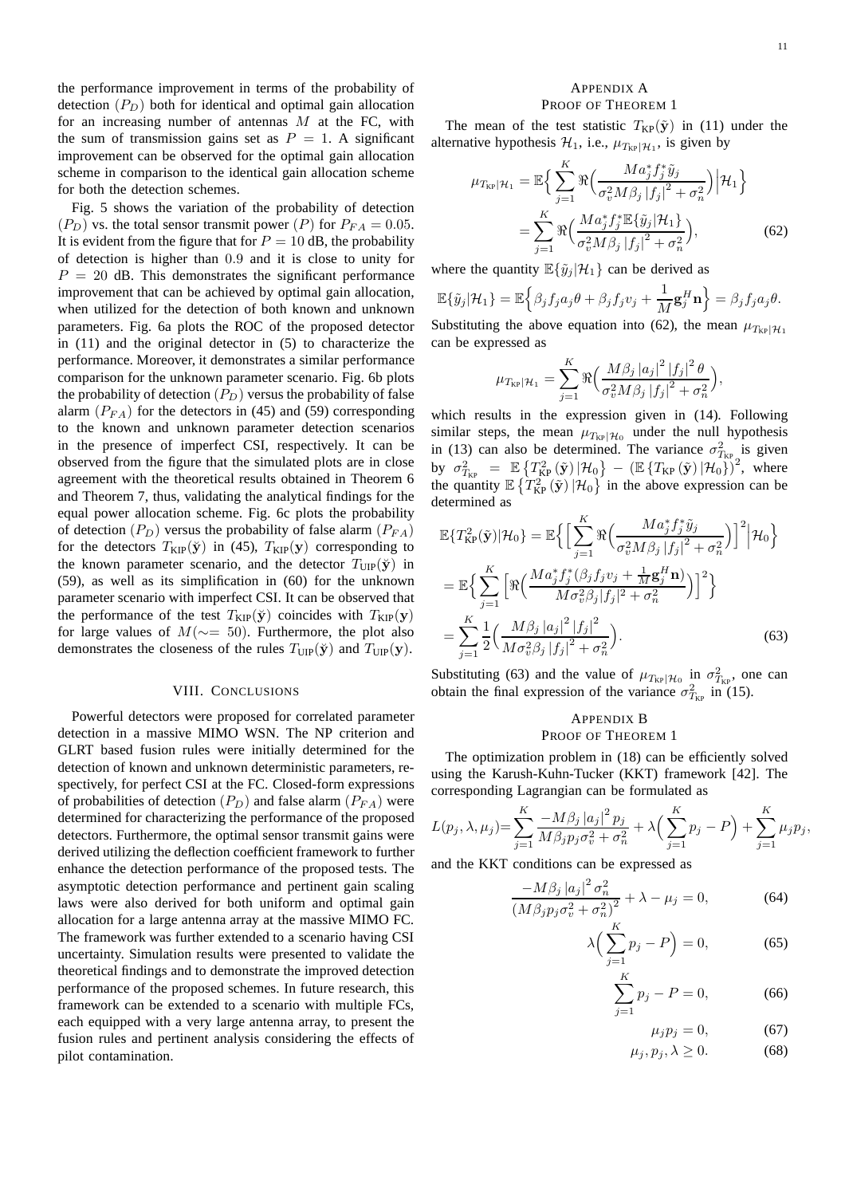the performance improvement in terms of the probability of detection  $(P_D)$  both for identical and optimal gain allocation for an increasing number of antennas M at the FC, with the sum of transmission gains set as  $P = 1$ . A significant improvement can be observed for the optimal gain allocation scheme in comparison to the identical gain allocation scheme for both the detection schemes.

Fig. 5 shows the variation of the probability of detection  $(P_D)$  vs. the total sensor transmit power  $(P)$  for  $P_{FA} = 0.05$ . It is evident from the figure that for  $P = 10$  dB, the probability of detection is higher than 0.9 and it is close to unity for  $P = 20$  dB. This demonstrates the significant performance improvement that can be achieved by optimal gain allocation, when utilized for the detection of both known and unknown parameters. Fig. 6a plots the ROC of the proposed detector in (11) and the original detector in (5) to characterize the performance. Moreover, it demonstrates a similar performance comparison for the unknown parameter scenario. Fig. 6b plots the probability of detection  $(P_D)$  versus the probability of false alarm  $(P_{FA})$  for the detectors in (45) and (59) corresponding to the known and unknown parameter detection scenarios in the presence of imperfect CSI, respectively. It can be observed from the figure that the simulated plots are in close agreement with the theoretical results obtained in Theorem 6 and Theorem 7, thus, validating the analytical findings for the equal power allocation scheme. Fig. 6c plots the probability of detection  $(P_D)$  versus the probability of false alarm  $(P_{FA})$ for the detectors  $T_{\text{KIP}}(\check{y})$  in (45),  $T_{\text{KIP}}(y)$  corresponding to the known parameter scenario, and the detector  $T_{\text{UP}}(\check{y})$  in (59), as well as its simplification in (60) for the unknown parameter scenario with imperfect CSI. It can be observed that the performance of the test  $T_{\text{KIP}}(\check{y})$  coincides with  $T_{\text{KIP}}(\check{y})$ for large values of  $M(\sim=50)$ . Furthermore, the plot also demonstrates the closeness of the rules  $T_{\text{UP}}(\check{y})$  and  $T_{\text{UP}}(\check{y})$ .

# VIII. CONCLUSIONS

Powerful detectors were proposed for correlated parameter detection in a massive MIMO WSN. The NP criterion and GLRT based fusion rules were initially determined for the detection of known and unknown deterministic parameters, respectively, for perfect CSI at the FC. Closed-form expressions of probabilities of detection  $(P_D)$  and false alarm  $(P_{FA})$  were determined for characterizing the performance of the proposed detectors. Furthermore, the optimal sensor transmit gains were derived utilizing the deflection coefficient framework to further enhance the detection performance of the proposed tests. The asymptotic detection performance and pertinent gain scaling laws were also derived for both uniform and optimal gain allocation for a large antenna array at the massive MIMO FC. The framework was further extended to a scenario having CSI uncertainty. Simulation results were presented to validate the theoretical findings and to demonstrate the improved detection performance of the proposed schemes. In future research, this framework can be extended to a scenario with multiple FCs, each equipped with a very large antenna array, to present the fusion rules and pertinent analysis considering the effects of pilot contamination.

# APPENDIX A PROOF OF THEOREM 1

The mean of the test statistic  $T_{KP}(\tilde{y})$  in (11) under the alternative hypothesis  $\mathcal{H}_1$ , i.e.,  $\mu_{T_{\text{KP}}|\mathcal{H}_1}$ , is given by

$$
\mu_{T_{\text{KP}}|\mathcal{H}_1} = \mathbb{E}\Big\{\sum_{j=1}^{K} \Re\Big(\frac{M a_j^* f_j^* \tilde{y}_j}{\sigma_v^2 M \beta_j |f_j|^2 + \sigma_n^2}\Big) \Big|\mathcal{H}_1\Big\}
$$
  
= 
$$
\sum_{j=1}^{K} \Re\Big(\frac{M a_j^* f_j^* \mathbb{E}\{\tilde{y}_j|\mathcal{H}_1\}}{\sigma_v^2 M \beta_j |f_j|^2 + \sigma_n^2}\Big),
$$
 (62)

where the quantity  $\mathbb{E}\{\tilde{y}_j|\mathcal{H}_1\}$  can be derived as

$$
\mathbb{E}\{\tilde{y}_j|\mathcal{H}_1\} = \mathbb{E}\Big\{\beta_j f_j a_j \theta + \beta_j f_j v_j + \frac{1}{M} \mathbf{g}_j^H \mathbf{n} \Big\} = \beta_j f_j a_j \theta.
$$

Substituting the above equation into (62), the mean  $\mu_{T_{\text{KP}}|\mathcal{H}_1}$ can be expressed as

$$
\mu_{T_{\text{KP}}|\mathcal{H}_1} = \sum_{j=1}^{K} \Re \Big( \frac{M\beta_j |a_j|^2 |f_j|^2 \theta}{\sigma_v^2 M \beta_j |f_j|^2 + \sigma_n^2} \Big),
$$

which results in the expression given in (14). Following similar steps, the mean  $\mu_{T_{KP}}|\mu_0$  under the null hypothesis in (13) can also be determined. The variance  $\sigma_{T_{\text{KP}}_{\text{R}}}}^2$  is given by  $\sigma_{T_{\text{KP}}}^2 = \mathbb{E} \left\{ T_{\text{KP}}^2(\tilde{\textbf{y}}) \left| \mathcal{H}_0 \right. \right\} - \left( \mathbb{E} \left\{ T_{\text{KP}}(\tilde{\textbf{y}}) \left| \mathcal{H}_0 \right. \right\} \right)^2$ , where the quantity  $\mathbb{E} \left\{ T_{\text{KP}}^2(\tilde{\mathbf{y}}) | \mathcal{H}_0 \right\}$  in the above expression can be determined as

$$
\mathbb{E}\{T_{\rm KP}^2(\tilde{\mathbf{y}})|\mathcal{H}_0\} = \mathbb{E}\Big\{\Big[\sum_{j=1}^K \Re\Big(\frac{Ma_j^* f_j^* \tilde{y}_j}{\sigma_v^2 M \beta_j |f_j|^2 + \sigma_n^2}\Big)\Big]^2 \Big|\mathcal{H}_0\Big\}
$$
  
\n
$$
= \mathbb{E}\Big\{\sum_{j=1}^K \Big[\Re\Big(\frac{Ma_j^* f_j^* (\beta_j f_j v_j + \frac{1}{M} \mathbf{g}_j^H \mathbf{n})}{M \sigma_v^2 \beta_j |f_j|^2 + \sigma_n^2}\Big)\Big]^2\Big\}
$$
  
\n
$$
= \sum_{j=1}^K \frac{1}{2} \Big(\frac{M \beta_j |a_j|^2 |f_j|^2}{M \sigma_v^2 \beta_j |f_j|^2 + \sigma_n^2}\Big). \tag{63}
$$

Substituting (63) and the value of  $\mu_{T_{KP}}|\mu_0|$  in  $\sigma_{T_{KP}}^2$ , one can obtain the final expression of the variance  $\sigma_{T_{\text{KP}}}^2$  in (15).

# APPENDIX B PROOF OF THEOREM 1

The optimization problem in (18) can be efficiently solved using the Karush-Kuhn-Tucker (KKT) framework [42]. The corresponding Lagrangian can be formulated as

$$
L(p_j, \lambda, \mu_j) = \sum_{j=1}^K \frac{-M\beta_j |a_j|^2 p_j}{M\beta_j p_j \sigma_v^2 + \sigma_n^2} + \lambda \left( \sum_{j=1}^K p_j - P \right) + \sum_{j=1}^K \mu_j p_j,
$$

and the KKT conditions can be expressed as

$$
\frac{-M\beta_j |a_j|^2 \sigma_n^2}{\left(M\beta_j p_j \sigma_v^2 + \sigma_n^2\right)^2} + \lambda - \mu_j = 0,\tag{64}
$$

$$
\lambda \Big( \sum_{j=1}^{K} p_j - P \Big) = 0,\tag{65}
$$

$$
\sum_{j=1}^{N} p_j - P = 0,\tag{66}
$$

$$
\mu_j p_j = 0,\t(67)
$$

$$
\mu_j, p_j, \lambda \ge 0. \tag{68}
$$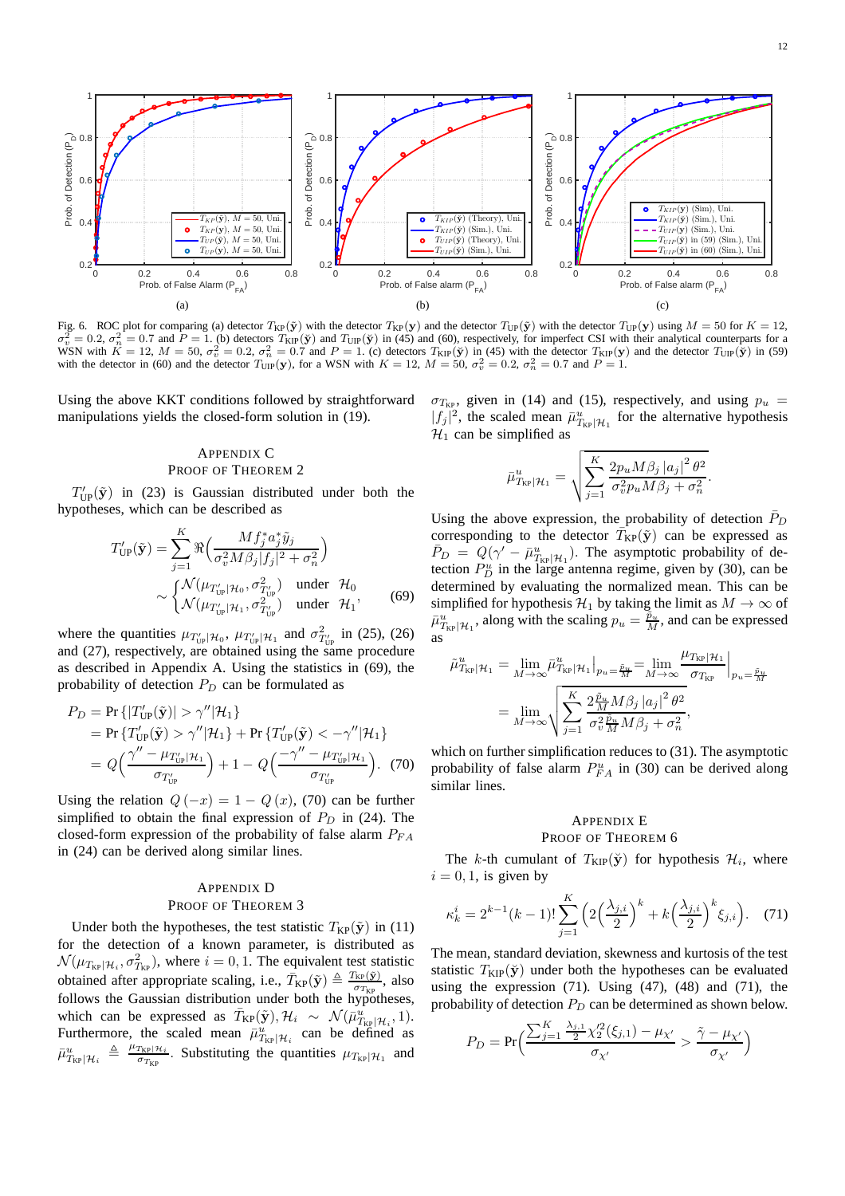

Fig. 6. ROC plot for comparing (a) detector  $T_{\text{KP}}(\tilde{y})$  with the detector  $T_{\text{KP}}(\tilde{y})$  and the detector  $T_{\text{UP}}(\tilde{y})$  with the detector  $T_{\text{UP}}(\tilde{y})$  using  $M = 50$  for  $K = 12$ ,  $\sigma^2 = 0.2$  and  $R = 1.4$  (b) dete σ  $v_v^2 = 0.2$ ,  $\sigma_n^2 = 0.7$  and  $P = 1$ . (b) detectors  $T_{\text{KIP}}(\check{y})$  and  $T_{\text{UP}}(\check{y})$  in (45) and (60), respectively, for imperfect CSI with their analytical counterparts for a WSN with  $K = 12$ ,  $M = 50$ ,  $\sigma_v^2 = 0.2$ ,  $\sigma_n^2 = 0.7$  and  $P = 1$ . (c) detectors  $T_{\rm KIP}(\check{y})$  in (45) with the detector  $T_{\rm KIP}(\check{y})$  and the detector  $T_{\rm UP}(\check{y})$  in (59) with the detector in (60) and the detector  $T_{\text{UIP}}(\mathbf{y})$ , for a WSN with  $K = 12$ ,  $M = 50$ ,  $\sigma_v^2 = 0.2$ ,  $\sigma_n^2 = 0.7$  and  $P = 1$ .

Using the above KKT conditions followed by straightforward manipulations yields the closed-form solution in (19).

# APPENDIX C PROOF OF THEOREM 2

 $T'_{\text{UP}}(\tilde{\mathbf{y}})$  in (23) is Gaussian distributed under both the hypotheses, which can be described as

$$
T'_{\text{UP}}(\tilde{\mathbf{y}}) = \sum_{j=1}^{K} \Re\left(\frac{Mf_j^* a_j^* \tilde{y}_j}{\sigma_v^2 M \beta_j |f_j|^2 + \sigma_n^2}\right)
$$

$$
\sim \begin{cases} \mathcal{N}(\mu_{T'_{\text{UP}}|\mathcal{H}_0}, \sigma_{T'_{\text{UP}}}^2) & \text{under } \mathcal{H}_0\\ \mathcal{N}(\mu_{T'_{\text{UP}}|\mathcal{H}_1}, \sigma_{T'_{\text{UP}}}^2) & \text{under } \mathcal{H}_1, \end{cases}
$$
(69)

where the quantities  $\mu_{T'_{UP}}|\mathcal{H}_0$ ,  $\mu_{T'_{UP}}|\mathcal{H}_1$  and  $\sigma^2_{T'_{UP}}$  in (25), (26) and (27), respectively, are obtained using the same procedure as described in Appendix A. Using the statistics in (69), the probability of detection  $P_D$  can be formulated as

$$
P_D = \Pr\{|T'_{\text{UP}}(\tilde{\mathbf{y}})| > \gamma''|\mathcal{H}_1\}
$$
  
=  $\Pr\{T'_{\text{UP}}(\tilde{\mathbf{y}}) > \gamma''|\mathcal{H}_1\} + \Pr\{T'_{\text{UP}}(\tilde{\mathbf{y}}) < -\gamma''|\mathcal{H}_1\}$   
=  $Q\left(\frac{\gamma'' - \mu_{T'_{\text{UP}}|\mathcal{H}_1}}{\sigma_{T'_{\text{UP}}}}\right) + 1 - Q\left(\frac{-\gamma'' - \mu_{T'_{\text{UP}}|\mathcal{H}_1}}{\sigma_{T'_{\text{UP}}}}\right).$  (70)

Using the relation  $Q(-x) = 1 - Q(x)$ , (70) can be further simplified to obtain the final expression of  $P_D$  in (24). The closed-form expression of the probability of false alarm  $P_{FA}$ in (24) can be derived along similar lines.

# APPENDIX D PROOF OF THEOREM 3

Under both the hypotheses, the test statistic  $T_{KP}(\tilde{y})$  in (11) for the detection of a known parameter, is distributed as  $\mathcal{N}(\mu_{T_{\text{KP}}|\mathcal{H}_i}, \sigma_{T_{\text{KP}}}^2)$ , where  $i = 0, 1$ . The equivalent test statistic obtained after appropriate scaling, i.e.,  $\bar{T}_{KP}(\tilde{y}) \triangleq \frac{T_{KP}(\tilde{y})}{T_{KT}}$  $\frac{\text{KP}(\mathbf{y})}{\sigma_{T_{\text{KP}}}}$ , also follows the Gaussian distribution under both the hypotheses, which can be expressed as  $\bar{T}_{KP}(\tilde{y}), \mathcal{H}_i \sim \mathcal{N}(\bar{\mu}_{T_{KP}|H_i}^u, 1).$ Furthermore, the scaled mean  $\bar{\mu}_{T_{\text{KP}}|\mathcal{H}_i}^{\mu}$  can be defined as  $\bar{\mu}^u_{T_{\mathrm{KP}}|\mathcal{H}_i} \ \triangleq \ \frac{\mu_{T_{\mathrm{KP}}|\mathcal{H}_i}}{\sigma_{T_{\mathrm{KP}}}}$  $\frac{T_{KP}|\mathcal{H}_i}{\sigma_{T_{KP}}}$ . Substituting the quantities  $\mu_{T_{KP}}|\mathcal{H}_1$  and  $\sigma_{T_{KP}}$ , given in (14) and (15), respectively, and using  $p_u =$  $|f_j|^2$ , the scaled mean  $\bar{\mu}^u_{T_{\text{KP}}|\mathcal{H}_1}$  for the alternative hypothesis  $\mathcal{H}_1$  can be simplified as

$$
\bar{\mu}_{T_{\text{KP}}|\mathcal{H}_1}^u = \sqrt{\sum_{j=1}^K \frac{2p_u M \beta_j |a_j|^2 \theta^2}{\sigma_v^2 p_u M \beta_j + \sigma_n^2}}.
$$

Using the above expression, the probability of detection  $\bar{P}_D$ corresponding to the detector  $\overline{T}_{KP}(\tilde{\mathbf{y}})$  can be expressed as  $\bar{P}_D = Q(\gamma' - \bar{\mu}_{T_{\text{KP}}|\mathcal{H}_1}^u)$ . The asymptotic probability of detection  $P_D^u$  in the large antenna regime, given by (30), can be determined by evaluating the normalized mean. This can be simplified for hypothesis  $\mathcal{H}_1$  by taking the limit as  $M \to \infty$  of  $\bar{\mu}_{T_{\text{KP}}|\mathcal{H}_1}^u$ , along with the scaling  $p_u = \frac{\tilde{p}_u}{M}$ , and can be expressed as

$$
\tilde{\mu}_{T_{\text{KP}}|\mathcal{H}_1}^u = \lim_{M \to \infty} \bar{\mu}_{T_{\text{KP}}|\mathcal{H}_1}^u \Big|_{p_u = \frac{\bar{p}_u}{M}} = \lim_{M \to \infty} \frac{\mu_{T_{\text{KP}}|\mathcal{H}_1}}{\sigma_{T_{\text{KP}}}} \Big|_{p_u = \frac{\bar{p}_u}{M}} \n= \lim_{M \to \infty} \sqrt{\sum_{j=1}^K \frac{2\frac{\tilde{p}_u}{M} M \beta_j |a_j|^2 \theta^2}{\sigma_v^2 \frac{\tilde{p}_u}{M} M \beta_j + \sigma_n^2}},
$$

which on further simplification reduces to (31). The asymptotic probability of false alarm  $P_{FA}^u$  in (30) can be derived along similar lines.

# APPENDIX E PROOF OF THEOREM 6

The k-th cumulant of  $T_{\text{KIP}}(\check{y})$  for hypothesis  $\mathcal{H}_i$ , where  $i = 0, 1$ , is given by

$$
\kappa_k^i = 2^{k-1}(k-1)!\sum_{j=1}^K \left(2\left(\frac{\lambda_{j,i}}{2}\right)^k + k\left(\frac{\lambda_{j,i}}{2}\right)^k \xi_{j,i}\right). \tag{71}
$$

The mean, standard deviation, skewness and kurtosis of the test statistic  $T_{\text{KIP}}(\check{y})$  under both the hypotheses can be evaluated using the expression  $(71)$ . Using  $(47)$ ,  $(48)$  and  $(71)$ , the probability of detection  $P_D$  can be determined as shown below.

$$
P_D = \Pr\Big(\frac{\sum_{j=1}^K \frac{\lambda_{j,1}}{2} \chi_2'^2(\xi_{j,1}) - \mu_{\chi'}}{\sigma_{\chi'}} > \frac{\tilde{\gamma} - \mu_{\chi'}}{\sigma_{\chi'}}\Big)
$$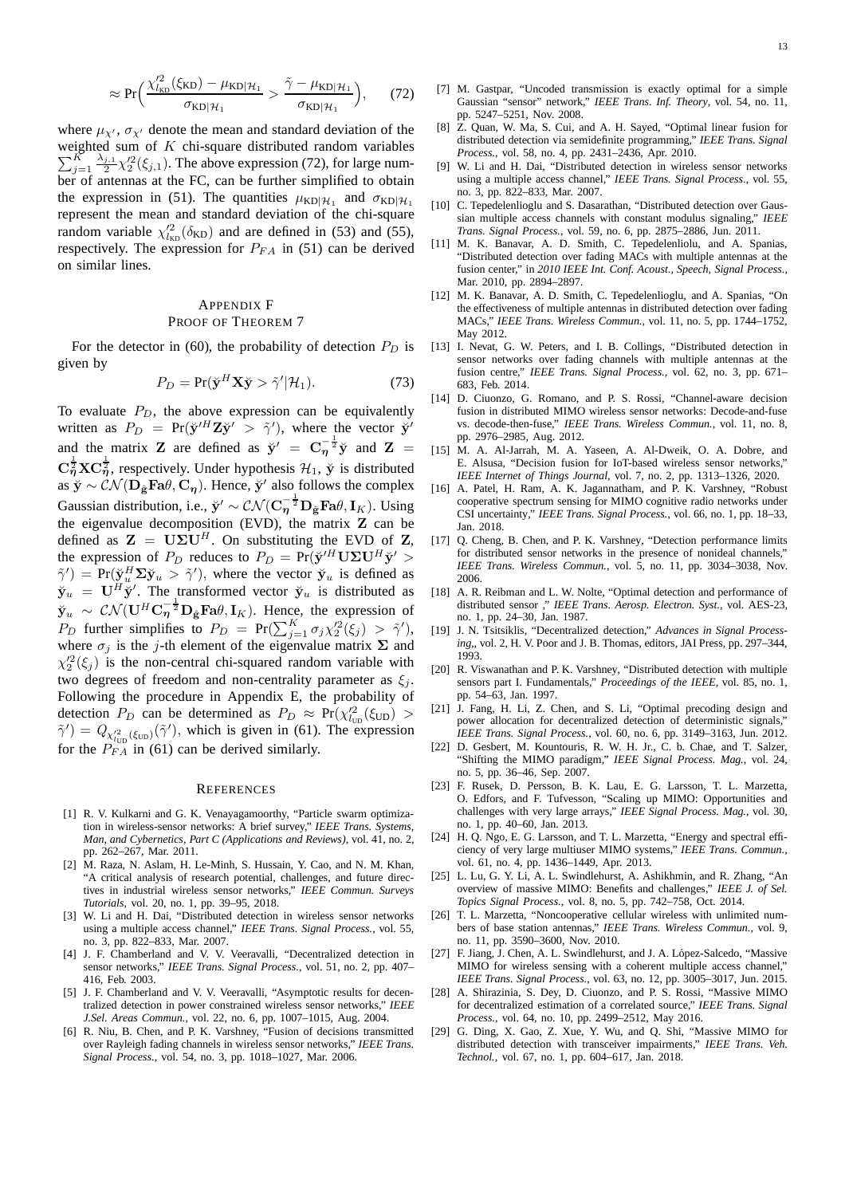$$
\approx \Pr\bigg(\frac{\chi_{l_{\text{KD}}}^{\prime 2}(\xi_{\text{KD}}) - \mu_{\text{KD}|\mathcal{H}_1}}{\sigma_{\text{KD}|\mathcal{H}_1}} > \frac{\tilde{\gamma} - \mu_{\text{KD}|\mathcal{H}_1}}{\sigma_{\text{KD}|\mathcal{H}_1}}\bigg),\tag{72}
$$

where  $\mu_{\chi'}$ ,  $\sigma_{\chi'}$  denote the mean and standard deviation of the  $\sum_{i=1}^K$ weighted sum of  $K$  chi-square distributed random variables  $\frac{K}{j=1} \frac{\lambda_{j,1}}{2} \chi_2^2(\xi_{j,1})$ . The above expression (72), for large number of antennas at the FC, can be further simplified to obtain the expression in (51). The quantities  $\mu_{KD|\mathcal{H}_1}$  and  $\sigma_{KD|\mathcal{H}_1}$ represent the mean and standard deviation of the chi-square random variable  $\chi'^2_{k_{\text{BD}}}(\delta_{\text{KD}})$  and are defined in (53) and (55), respectively. The expression for  $P_{FA}$  in (51) can be derived on similar lines.

# APPENDIX F PROOF OF THEOREM 7

For the detector in (60), the probability of detection  $P_D$  is given by

$$
P_D = \Pr(\breve{\mathbf{y}}^H \mathbf{X} \breve{\mathbf{y}} > \tilde{\gamma}' | \mathcal{H}_1). \tag{73}
$$

To evaluate  $P_D$ , the above expression can be equivalently written as  $P_D = Pr(\ddot{y}'^H Z \ddot{y}' > \ddot{\gamma}')$ , where the vector  $\ddot{y}'$ and the matrix **Z** are defined as  $\check{y}' = C_{\eta}^{-\frac{1}{2}} \check{y}$  and **Z** =  $\mathbf{C}_{\eta}^{\frac{1}{2}}\mathbf{X}\mathbf{C}_{\eta}^{\frac{1}{2}}$ , respectively. Under hypothesis  $\mathcal{H}_1$ ,  $\check{\mathbf{y}}$  is distributed as  $\breve{\mathbf{y}} \sim \mathcal{CN}(\mathbf{D}_{\hat{\mathbf{g}}}\mathbf{F}\mathbf{a}\theta, \mathbf{C}_{\boldsymbol{\eta}})$ . Hence,  $\breve{\mathbf{y}}'$  also follows the complex Gaussian distribution, i.e.,  $\check{\mathbf{y}}' \sim \mathcal{CN}(\mathbf{C}_{\eta}^{-\frac{1}{2}}\mathbf{D}_{\hat{\mathbf{g}}}\mathbf{F}\mathbf{a}\theta, \mathbf{I}_K)$ . Using the eigenvalue decomposition (EVD), the matrix Z can be defined as  $\mathbf{Z} = \mathbf{U} \Sigma \mathbf{U}^H$ . On substituting the EVD of Z, the expression of  $P_D$  reduces to  $P_D = Pr(\breve{\mathbf{y}}'^H \mathbf{U} \Sigma \mathbf{U}^H \breve{\mathbf{y}}' >$  $\tilde{\gamma}'$ ) = Pr( $\breve{\chi}_u^H \Sigma \breve{\chi}_u > \tilde{\gamma}'$ ), where the vector  $\breve{\mathbf{y}}_u$  is defined as  $\ddot{\mathbf{y}}_u = \mathbf{U}^H \ddot{\mathbf{y}}'$ . The transformed vector  $\ddot{\mathbf{y}}_u$  is distributed as  $\check{\mathbf{y}}_u \sim \mathcal{CN}(\mathbf{U}^H \mathbf{C}_\eta^{-\frac{1}{2}} \mathbf{D}_{\hat{\mathbf{g}}} \mathbf{F}\mathbf{a}\theta, \mathbf{I}_K)$ . Hence, the expression of  $P_D$  further simplifies to  $P_D = \Pr(\sum_{j=1}^K \sigma_j \chi_2'^2(\xi_j) > \tilde{\gamma}'),$ where  $\sigma_i$  is the j-th element of the eigenvalue matrix  $\Sigma$  and  $\chi_2^2(\xi_j)$  is the non-central chi-squared random variable with two degrees of freedom and non-centrality parameter as  $\xi_i$ . Following the procedure in Appendix E, the probability of detection  $P_D$  can be determined as  $P_D \approx \Pr(\chi_{l_{UD}}^{2}(\xi_{UD}) >$  $\tilde{\gamma}'$ ) =  $Q_{\chi^2_{\text{UD}}}(\xi_{\text{UD}})(\tilde{\gamma}')$ , which is given in (61). The expression for the  $P_{FA}^{CO}$  in (61) can be derived similarly.

## **REFERENCES**

- [1] R. V. Kulkarni and G. K. Venayagamoorthy, "Particle swarm optimization in wireless-sensor networks: A brief survey," *IEEE Trans. Systems, Man, and Cybernetics, Part C (Applications and Reviews)*, vol. 41, no. 2, pp. 262–267, Mar. 2011.
- [2] M. Raza, N. Aslam, H. Le-Minh, S. Hussain, Y. Cao, and N. M. Khan, "A critical analysis of research potential, challenges, and future directives in industrial wireless sensor networks," *IEEE Commun. Surveys Tutorials*, vol. 20, no. 1, pp. 39–95, 2018.
- W. Li and H. Dai, "Distributed detection in wireless sensor networks using a multiple access channel," *IEEE Trans. Signal Process.*, vol. 55, no. 3, pp. 822–833, Mar. 2007.
- [4] J. F. Chamberland and V. V. Veeravalli, "Decentralized detection in sensor networks," *IEEE Trans. Signal Process.*, vol. 51, no. 2, pp. 407– 416, Feb. 2003.
- [5] J. F. Chamberland and V. V. Veeravalli, "Asymptotic results for decentralized detection in power constrained wireless sensor networks," *IEEE J.Sel. Areas Commun.*, vol. 22, no. 6, pp. 1007–1015, Aug. 2004.
- [6] R. Niu, B. Chen, and P. K. Varshney, "Fusion of decisions transmitted over Rayleigh fading channels in wireless sensor networks," *IEEE Trans. Signal Process.*, vol. 54, no. 3, pp. 1018–1027, Mar. 2006.
- [7] M. Gastpar, "Uncoded transmission is exactly optimal for a simple Gaussian "sensor" network," *IEEE Trans. Inf. Theory*, vol. 54, no. 11, pp. 5247–5251, Nov. 2008.
- [8] Z. Quan, W. Ma, S. Cui, and A. H. Sayed, "Optimal linear fusion for distributed detection via semidefinite programming," *IEEE Trans. Signal Process.*, vol. 58, no. 4, pp. 2431–2436, Apr. 2010.
- [9] W. Li and H. Dai, "Distributed detection in wireless sensor networks using a multiple access channel," *IEEE Trans. Signal Process.*, vol. 55, no. 3, pp. 822–833, Mar. 2007.
- [10] C. Tepedelenlioglu and S. Dasarathan, "Distributed detection over Gaussian multiple access channels with constant modulus signaling," *IEEE Trans. Signal Process.*, vol. 59, no. 6, pp. 2875–2886, Jun. 2011.
- [11] M. K. Banavar, A. D. Smith, C. Tepedelenliolu, and A. Spanias, "Distributed detection over fading MACs with multiple antennas at the fusion center," in *2010 IEEE Int. Conf. Acoust., Speech, Signal Process.*, Mar. 2010, pp. 2894–2897.
- [12] M. K. Banavar, A. D. Smith, C. Tepedelenlioglu, and A. Spanias, "On the effectiveness of multiple antennas in distributed detection over fading MACs," *IEEE Trans. Wireless Commun.*, vol. 11, no. 5, pp. 1744–1752, May 2012.
- [13] I. Nevat, G. W. Peters, and I. B. Collings, "Distributed detection in sensor networks over fading channels with multiple antennas at the fusion centre," *IEEE Trans. Signal Process.*, vol. 62, no. 3, pp. 671– 683, Feb. 2014.
- [14] D. Ciuonzo, G. Romano, and P. S. Rossi, "Channel-aware decision fusion in distributed MIMO wireless sensor networks: Decode-and-fuse vs. decode-then-fuse," *IEEE Trans. Wireless Commun.*, vol. 11, no. 8, pp. 2976–2985, Aug. 2012.
- [15] M. A. Al-Jarrah, M. A. Yaseen, A. Al-Dweik, O. A. Dobre, and E. Alsusa, "Decision fusion for IoT-based wireless sensor networks," *IEEE Internet of Things Journal*, vol. 7, no. 2, pp. 1313–1326, 2020.
- [16] A. Patel, H. Ram, A. K. Jagannatham, and P. K. Varshney, "Robust cooperative spectrum sensing for MIMO cognitive radio networks under CSI uncertainty," *IEEE Trans. Signal Process.*, vol. 66, no. 1, pp. 18–33, Jan. 2018.
- [17] Q. Cheng, B. Chen, and P. K. Varshney, "Detection performance limits for distributed sensor networks in the presence of nonideal channels," *IEEE Trans. Wireless Commun.*, vol. 5, no. 11, pp. 3034–3038, Nov. 2006.
- [18] A. R. Reibman and L. W. Nolte, "Optimal detection and performance of distributed sensor ," *IEEE Trans. Aerosp. Electron. Syst.*, vol. AES-23, no. 1, pp. 24–30, Jan. 1987.
- [19] J. N. Tsitsiklis, "Decentralized detection," *Advances in Signal Processing,*, vol. 2, H. V. Poor and J. B. Thomas, editors, JAI Press, pp. 297–344, 1993.
- [20] R. Viswanathan and P. K. Varshney, "Distributed detection with multiple sensors part I. Fundamentals," *Proceedings of the IEEE*, vol. 85, no. 1, pp. 54–63, Jan. 1997.
- [21] J. Fang, H. Li, Z. Chen, and S. Li, "Optimal precoding design and power allocation for decentralized detection of deterministic signals,' *IEEE Trans. Signal Process.*, vol. 60, no. 6, pp. 3149–3163, Jun. 2012.
- [22] D. Gesbert, M. Kountouris, R. W. H. Jr., C. b. Chae, and T. Salzer, "Shifting the MIMO paradigm," *IEEE Signal Process. Mag.*, vol. 24, no. 5, pp. 36–46, Sep. 2007.
- [23] F. Rusek, D. Persson, B. K. Lau, E. G. Larsson, T. L. Marzetta, O. Edfors, and F. Tufvesson, "Scaling up MIMO: Opportunities and challenges with very large arrays," *IEEE Signal Process. Mag.*, vol. 30, no. 1, pp. 40–60, Jan. 2013.
- [24] H. Q. Ngo, E. G. Larsson, and T. L. Marzetta, "Energy and spectral efficiency of very large multiuser MIMO systems," *IEEE Trans. Commun.*, vol. 61, no. 4, pp. 1436–1449, Apr. 2013.
- [25] L. Lu, G. Y. Li, A. L. Swindlehurst, A. Ashikhmin, and R. Zhang, "An overview of massive MIMO: Benefits and challenges," *IEEE J. of Sel. Topics Signal Process.*, vol. 8, no. 5, pp. 742–758, Oct. 2014.
- [26] T. L. Marzetta, "Noncooperative cellular wireless with unlimited numbers of base station antennas," *IEEE Trans. Wireless Commun.*, vol. 9, no. 11, pp. 3590–3600, Nov. 2010.
- [27] F. Jiang, J. Chen, A. L. Swindlehurst, and J. A. López-Salcedo, "Massive MIMO for wireless sensing with a coherent multiple access channel," *IEEE Trans. Signal Process.*, vol. 63, no. 12, pp. 3005–3017, Jun. 2015.
- [28] A. Shirazinia, S. Dey, D. Ciuonzo, and P. S. Rossi, "Massive MIMO for decentralized estimation of a correlated source," *IEEE Trans. Signal Process.*, vol. 64, no. 10, pp. 2499–2512, May 2016.
- [29] G. Ding, X. Gao, Z. Xue, Y. Wu, and Q. Shi, "Massive MIMO for distributed detection with transceiver impairments," *IEEE Trans. Veh. Technol.*, vol. 67, no. 1, pp. 604–617, Jan. 2018.